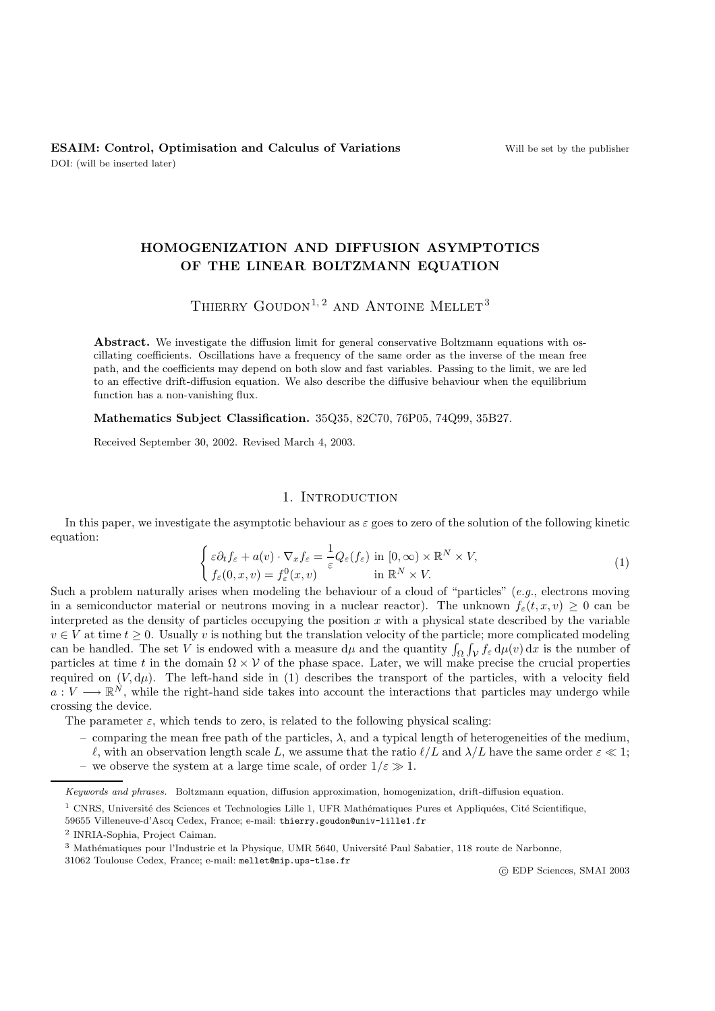# **HOMOGENIZATION AND DIFFUSION ASYMPTOTICS OF THE LINEAR BOLTZMANN EQUATION**

# THIERRY GOUDON<sup>1, 2</sup> AND ANTOINE MELLET<sup>3</sup>

Abstract. We investigate the diffusion limit for general conservative Boltzmann equations with oscillating coefficients. Oscillations have a frequency of the same order as the inverse of the mean free path, and the coefficients may depend on both slow and fast variables. Passing to the limit, we are led to an effective drift-diffusion equation. We also describe the diffusive behaviour when the equilibrium function has a non-vanishing flux.

**Mathematics Subject Classification.** 35Q35, 82C70, 76P05, 74Q99, 35B27.

Received September 30, 2002. Revised March 4, 2003.

# 1. INTRODUCTION

In this paper, we investigate the asymptotic behaviour as  $\varepsilon$  goes to zero of the solution of the following kinetic equation:

$$
\begin{cases}\n\varepsilon \partial_t f_{\varepsilon} + a(v) \cdot \nabla_x f_{\varepsilon} = \frac{1}{\varepsilon} Q_{\varepsilon}(f_{\varepsilon}) \text{ in } [0, \infty) \times \mathbb{R}^N \times V,\n\end{cases}
$$
\nSuch a problem naturally arises when modeling the behaviour of a cloud of "particles" (e.g., electrons moving)

\n
$$
\begin{cases}\n\varepsilon \partial_t f_{\varepsilon} + a(v) \cdot \nabla_x f_{\varepsilon} = \frac{1}{\varepsilon} Q_{\varepsilon}(f_{\varepsilon}) \text{ in } [0, \infty) \times \mathbb{R}^N \times V,\n\end{cases}
$$
\n(1)

in a semiconductor material or neutrons moving in a nuclear reactor). The unknown  $f_{\varepsilon}(t, x, v) \geq 0$  can be interpreted as the density of particles occupying the position  $x$  with a physical state described by the variable  $v \in V$  at time  $t \geq 0$ . Usually v is nothing but the translation velocity of the particle; more complicated modeling can be handled. The set V is endowed with a measure  $d\mu$  and the quantity  $\int_{\Omega} \int_{\mathcal{V}} f_{\varepsilon} d\mu(v) dx$  is the number of particles at time t in the domain  $\Omega \times \mathcal{V}$  of the phase space. Later, we will make precise the particles at time t in the domain  $\Omega \times V$  of the phase space. Later, we will make precise the crucial properties required on  $(V, d\mu)$ . The left-hand side in (1) describes the transport of the particles, with a velocity field  $a: V \longrightarrow \mathbb{R}^N$ , while the right-hand side takes into account the interactions that particles may undergo while crossing the device.

The parameter  $\varepsilon$ , which tends to zero, is related to the following physical scaling:

- comparing the mean free path of the particles,  $\lambda$ , and a typical length of heterogeneities of the medium,
- $\ell$ , with an observation length scale L, we assume that the ratio  $\ell/L$  and  $\lambda/L$  have the same order  $\varepsilon \ll 1$ ;
- we observe the system at a large time scale, of order  $1/\varepsilon \gg 1$ .

31062 Toulouse Cedex, France; e-mail: mellet@mip.ups-tlse.fr

c EDP Sciences, SMAI 2003

Keywords and phrases. Boltzmann equation, diffusion approximation, homogenization, drift-diffusion equation.

 $1$  CNRS, Université des Sciences et Technologies Lille 1, UFR Mathématiques Pures et Appliquées, Cité Scientifique,

<sup>59655</sup> Villeneuve-d'Ascq Cedex, France; e-mail: thierry.goudon@univ-lille1.fr

<sup>2</sup> INRIA-Sophia, Project Caiman.

<sup>&</sup>lt;sup>3</sup> Mathématiques pour l'Industrie et la Physique, UMR 5640, Université Paul Sabatier, 118 route de Narbonne,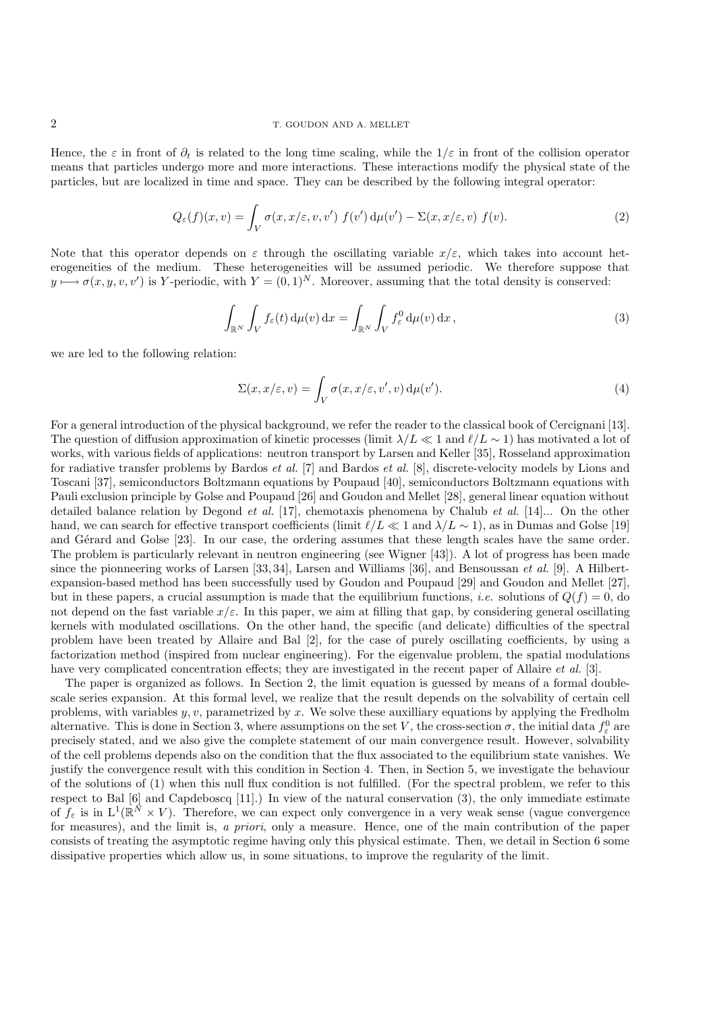Hence, the  $\varepsilon$  in front of  $\partial_t$  is related to the long time scaling, while the  $1/\varepsilon$  in front of the collision operator means that particles undergo more and more interactions. These interactions modify the physical state of the particles, but are localized in time and space. They can be described by the following integral operator:

$$
Q_{\varepsilon}(f)(x,v) = \int_{V} \sigma(x, x/\varepsilon, v, v') f(v') d\mu(v') - \Sigma(x, x/\varepsilon, v) f(v).
$$
 (2)

Note that this operator depends on  $\varepsilon$  through the oscillating variable  $x/\varepsilon$ , which takes into account heterogeneities of the medium. These heterogeneities will be assumed periodic. We therefore suppose that  $y \mapsto \sigma(x, y, v, v')$  is Y-periodic, with  $Y = (0, 1)^N$ . Moreover, assuming that the total density is conserved:

$$
\int_{\mathbb{R}^N} \int_V f_\varepsilon(t) \, \mathrm{d}\mu(v) \, \mathrm{d}x = \int_{\mathbb{R}^N} \int_V f_\varepsilon^0 \, \mathrm{d}\mu(v) \, \mathrm{d}x \,,\tag{3}
$$

we are led to the following relation:

$$
\Sigma(x, x/\varepsilon, v) = \int_{V} \sigma(x, x/\varepsilon, v', v) d\mu(v'). \tag{4}
$$

For a general introduction of the physical background, we refer the reader to the classical book of Cercignani [13]. The question of diffusion approximation of kinetic processes (limit  $\lambda/L \ll 1$  and  $\ell/L \sim 1$ ) has motivated a lot of works, with various fields of applications: neutron transport by Larsen and Keller [35], Rosseland approximation for radiative transfer problems by Bardos *et al.* [7] and Bardos *et al.* [8], discrete-velocity models by Lions and Toscani [37], semiconductors Boltzmann equations by Poupaud [40], semiconductors Boltzmann equations with Pauli exclusion principle by Golse and Poupaud [26] and Goudon and Mellet [28], general linear equation without detailed balance relation by Degond *et al.* [17], chemotaxis phenomena by Chalub *et al.* [14]... On the other hand, we can search for effective transport coefficients (limit  $\ell/L \ll 1$  and  $\lambda/L \sim 1$ ), as in Dumas and Golse [19] and Gérard and Golse [23]. In our case, the ordering assumes that these length scales have the same order. The problem is particularly relevant in neutron engineering (see Wigner [43]). A lot of progress has been made since the pionneering works of Larsen [33, 34], Larsen and Williams [36], and Bensoussan *et al.* [9]. A Hilbertexpansion-based method has been successfully used by Goudon and Poupaud [29] and Goudon and Mellet [27], but in these papers, a crucial assumption is made that the equilibrium functions, *i.e.* solutions of  $Q(f) = 0$ , do not depend on the fast variable  $x/\varepsilon$ . In this paper, we aim at filling that gap, by considering general oscillating kernels with modulated oscillations. On the other hand, the specific (and delicate) difficulties of the spectral problem have been treated by Allaire and Bal [2], for the case of purely oscillating coefficients, by using a factorization method (inspired from nuclear engineering). For the eigenvalue problem, the spatial modulations have very complicated concentration effects; they are investigated in the recent paper of Allaire *et al.* [3].

The paper is organized as follows. In Section 2, the limit equation is guessed by means of a formal doublescale series expansion. At this formal level, we realize that the result depends on the solvability of certain cell problems, with variables  $y, v$ , parametrized by  $x$ . We solve these auxilliary equations by applying the Fredholm alternative. This is done in Section 3, where assumptions on the set V, the cross-section  $\sigma$ , the initial data  $f_e^0$  are precisely stated, and we also give the complete statement of our main convergence result. However precisely stated, and we also give the complete statement of our main convergence result. However, solvability of the cell problems depends also on the condition that the flux associated to the equilibrium state vanishes. We justify the convergence result with this condition in Section 4. Then, in Section 5, we investigate the behaviour of the solutions of (1) when this null flux condition is not fulfilled. (For the spectral problem, we refer to this respect to Bal [6] and Capdeboscq [11].) In view of the natural conservation (3), the only immediate estimate of  $f_{\varepsilon}$  is in  $L^1(\mathbb{R}^N \times V)$ . Therefore, we can expect only convergence in a very weak sense (vague convergence for measures), and the limit is, *a priori*, only a measure. Hence, one of the main contribution of the paper consists of treating the asymptotic regime having only this physical estimate. Then, we detail in Section 6 some dissipative properties which allow us, in some situations, to improve the regularity of the limit.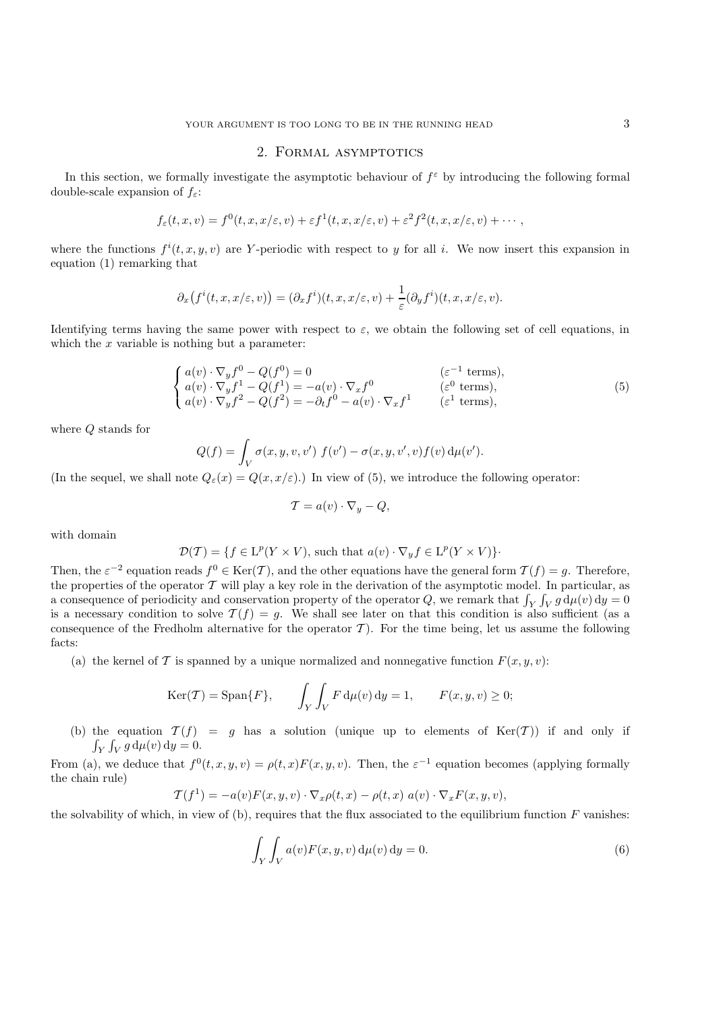# 2. Formal asymptotics

In this section, we formally investigate the asymptotic behaviour of  $f^{\epsilon}$  by introducing the following formal double-scale expansion of  $f_{\varepsilon}$ :

$$
f_{\varepsilon}(t,x,v)=f^{0}(t,x,x/\varepsilon,v)+\varepsilon f^{1}(t,x,x/\varepsilon,v)+\varepsilon^{2}f^{2}(t,x,x/\varepsilon,v)+\cdots,
$$

where the functions  $f^{i}(t, x, y, v)$  are Y-periodic with respect to y for all i. We now insert this expansion in equation (1) remarking that equation (1) remarking that

$$
\partial_x(f^i(t,x,x/\varepsilon,v))=(\partial_x f^i)(t,x,x/\varepsilon,v)+\frac{1}{\varepsilon}(\partial_y f^i)(t,x,x/\varepsilon,v).
$$

Identifying terms having the same power with respect to  $\varepsilon$ , we obtain the following set of cell equations, in which the  $x$  variable is nothing but a parameter:

$$
\begin{cases}\na(v) \cdot \nabla_y f^0 - Q(f^0) = 0 & (\varepsilon^{-1} \text{ terms}), \\
a(v) \cdot \nabla_y f^1 - Q(f^1) = -a(v) \cdot \nabla_x f^0 & (\varepsilon^0 \text{ terms}), \\
a(v) \cdot \nabla_y f^2 - Q(f^2) = -\partial_t f^0 - a(v) \cdot \nabla_x f^1 & (\varepsilon^1 \text{ terms}),\n\end{cases}
$$
\n(5)

where Q stands for

$$
Q(f) = \int_V \sigma(x, y, v, v') f(v') - \sigma(x, y, v', v) f(v) d\mu(v').
$$

(In the sequel, we shall note  $Q_{\varepsilon}(x) = Q(x, x/\varepsilon)$ .) In view of (5), we introduce the following operator:

$$
\mathcal{T} = a(v) \cdot \nabla_y - Q,
$$

with domain

$$
\mathcal{D}(\mathcal{T}) = \{ f \in \mathcal{L}^p(Y \times V), \text{ such that } a(v) \cdot \nabla_y f \in \mathcal{L}^p(Y \times V) \}.
$$

Then, the  $\varepsilon^{-2}$  equation reads  $f^0 \in \text{Ker}(\mathcal{T})$ , and the other equations have the general form  $\mathcal{T}(f) = g$ . Therefore, the properties of the operator  $\mathcal{T}$  will play a key role in the derivation of the asymptotic m the properties of the operator  $\mathcal T$  will play a key role in the derivation of the asymptotic model. In particular, as a consequence of periodicity and conservation property of the operator Q, we remark that  $\int_Y \int_V g d\mu(v) dy = 0$ <br>is a necessary condition to solve  $\mathcal{T}(f) = g$ . We shall see later on that this condition is also sufficient (as a is a necessary condition to solve  $\mathcal{T}(f) = g$ . We shall see later on that this condition is also sufficient (as a consequence of the Fredholm alternative for the operator  $\mathcal T$ ). For the time being, let us assume the following facts:

(a) the kernel of T is spanned by a unique normalized and nonnegative function  $F(x, y, v)$ :

$$
\text{Ker}(\mathcal{T}) = \text{Span}\{F\}, \qquad \int_Y \int_V F \, \mathrm{d}\mu(v) \, \mathrm{d}y = 1, \qquad F(x, y, v) \ge 0;
$$

(b) the equation  $\mathcal{T}(f) = g$  has a solution (unique up to elements of Ker(T)) if and only if  $\int_Y \int_V g \, \mathrm{d}\mu(v) \, \mathrm{d}y = 0.$ 

From (a), we deduce that  $f^{0}(t, x, y, v) = \rho(t, x)F(x, y, v)$ . Then, the  $\varepsilon^{-1}$  equation becomes (applying formally the chain rule)

$$
\mathcal{T}(f^1) = -a(v)F(x, y, v) \cdot \nabla_x \rho(t, x) - \rho(t, x) a(v) \cdot \nabla_x F(x, y, v),
$$

the solvability of which, in view of (b), requires that the flux associated to the equilibrium function  $F$  vanishes:

$$
\int_{Y} \int_{V} a(v) F(x, y, v) d\mu(v) dy = 0.
$$
\n(6)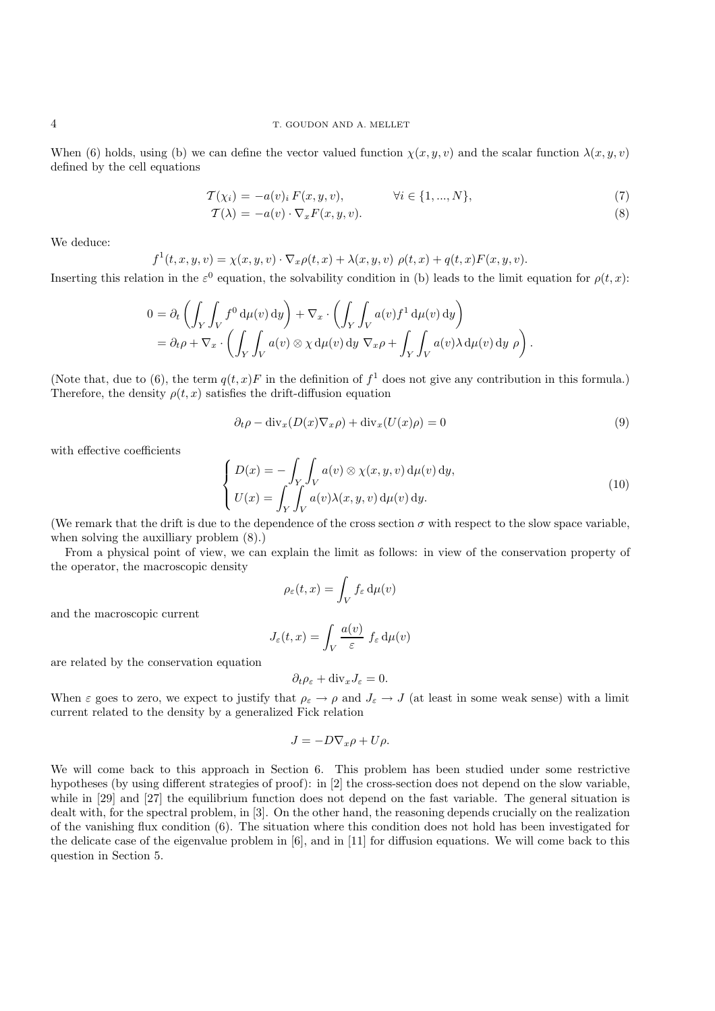#### 4 T. GOUDON AND A. MELLET

When (6) holds, using (b) we can define the vector valued function  $\chi(x, y, v)$  and the scalar function  $\lambda(x, y, v)$ defined by the cell equations

$$
\mathcal{T}(\chi_i) = -a(v)_i F(x, y, v), \qquad \forall i \in \{1, ..., N\},\tag{7}
$$

$$
\mathcal{T}(\lambda) = -a(v) \cdot \nabla_x F(x, y, v). \tag{8}
$$

We deduce:

$$
f^{1}(t, x, y, v) = \chi(x, y, v) \cdot \nabla_{x} \rho(t, x) + \lambda(x, y, v) \rho(t, x) + q(t, x) F(x, y, v).
$$

Inserting this relation in the  $\varepsilon^0$  equation, the solvability condition in (b) leads to the limit equation for  $\rho(t, x)$ :

$$
0 = \partial_t \left( \int_Y \int_V f^0 d\mu(v) dy \right) + \nabla_x \cdot \left( \int_Y \int_V a(v) f^1 d\mu(v) dy \right)
$$
  
=  $\partial_t \rho + \nabla_x \cdot \left( \int_Y \int_V a(v) \otimes \chi d\mu(v) dy \nabla_x \rho + \int_Y \int_V a(v) \lambda d\mu(v) dy \rho \right).$ 

(Note that, due to (6), the term  $q(t, x)F$  in the definition of  $f<sup>1</sup>$  does not give any contribution in this formula.) Therefore, the density  $\rho(t, x)$  satisfies the drift-diffusion equation

$$
\partial_t \rho - \text{div}_x (D(x) \nabla_x \rho) + \text{div}_x (U(x) \rho) = 0 \tag{9}
$$

with effective coefficients

$$
\begin{cases}\nD(x) = -\int_{Y} \int_{V} a(v) \otimes \chi(x, y, v) d\mu(v) dy, \\
U(x) = \int_{Y} \int_{V} a(v) \lambda(x, y, v) d\mu(v) dy.\n\end{cases}
$$
\n(10)

(We remark that the drift is due to the dependence of the cross section  $\sigma$  with respect to the slow space variable, when solving the auxilliary problem (8).)

From a physical point of view, we can explain the limit as follows: in view of the conservation property of the operator, the macroscopic density

$$
\rho_{\varepsilon}(t,x) = \int_{V} f_{\varepsilon} d\mu(v)
$$

and the macroscopic current

$$
J_{\varepsilon}(t,x) = \int_{V} \frac{a(v)}{\varepsilon} f_{\varepsilon} d\mu(v)
$$

are related by the conservation equation

$$
\partial_t \rho_{\varepsilon} + \text{div}_x J_{\varepsilon} = 0.
$$

When  $\varepsilon$  goes to zero, we expect to justify that  $\rho_{\varepsilon} \to \rho$  and  $J_{\varepsilon} \to J$  (at least in some weak sense) with a limit current related to the density by a generalized Fick relation current related to the density by a generalized Fick relation

$$
J = -D\nabla_x \rho + U\rho.
$$

We will come back to this approach in Section 6. This problem has been studied under some restrictive hypotheses (by using different strategies of proof): in [2] the cross-section does not depend on the slow variable, while in [29] and [27] the equilibrium function does not depend on the fast variable. The general situation is dealt with, for the spectral problem, in [3]. On the other hand, the reasoning depends crucially on the realization of the vanishing flux condition (6). The situation where this condition does not hold has been investigated for the delicate case of the eigenvalue problem in [6], and in [11] for diffusion equations. We will come back to this question in Section 5.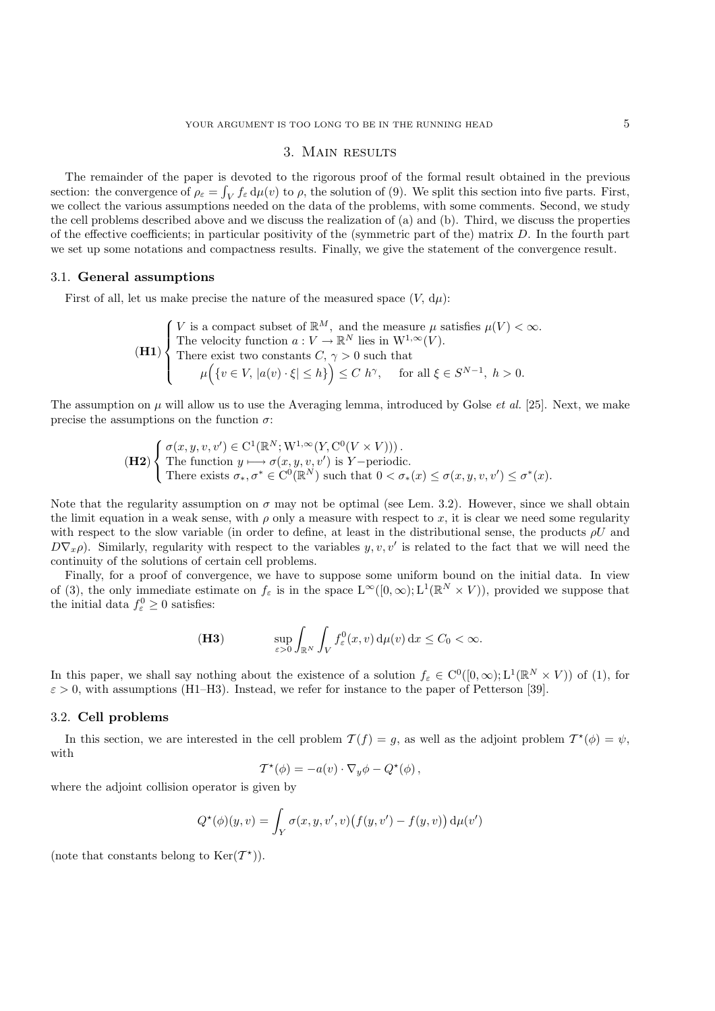# 3. Main results

The remainder of the paper is devoted to the rigorous proof of the formal result obtained in the previous section: the convergence of  $\rho_{\varepsilon} = \int_V f_{\varepsilon} d\mu(v)$  to  $\rho$ , the solution of (9). We split this section into five parts. First, we collect the various assumptions needed on the data of the problems, with some comments. Second, we study the cell problems described above and we discuss the realization of (a) and (b). Third, we discuss the properties of the effective coefficients; in particular positivity of the (symmetric part of the) matrix D. In the fourth part we set up some notations and compactness results. Finally, we give the statement of the convergence result.

#### 3.1. **General assumptions**

First of all, let us make precise the nature of the measured space  $(V, d\mu)$ :

$$
\textbf{(H1)} \begin{cases} V \text{ is a compact subset of } \mathbb{R}^M, \text{ and the measure } \mu \text{ satisfies } \mu(V) < \infty. \\ \text{The velocity function } a: V \to \mathbb{R}^N \text{ lies in } W^{1,\infty}(V). \\ \text{There exist two constants } C, \gamma > 0 \text{ such that} \\ \mu \Big( \{ v \in V, |a(v) \cdot \xi| \leq h \} \Big) \leq C \ h^\gamma, \quad \text{for all } \xi \in S^{N-1}, \ h > 0. \end{cases}
$$

The assumption on µ will allow us to use the Averaging lemma, introduced by Golse *et al.* [25]. Next, we make precise the assumptions on the function  $\sigma$ :

$$
\textbf{(H2)}\n\begin{cases}\n\sigma(x,y,v,v')\in\mathcal{C}^1(\mathbb{R}^N;\mathcal{W}^{1,\infty}(Y,\mathcal{C}^0(V\times V))).\\
\text{The function }y\longmapsto\sigma(x,y,v,v')\text{ is }Y-\text{periodic}.\\
\text{There exists }\sigma_*,\sigma^*\in\mathcal{C}^0(\mathbb{R}^N)\text{ such that }0<\sigma_*(x)\leq\sigma(x,y,v,v')\leq\sigma^*(x).\n\end{cases}
$$

Note that the regularity assumption on  $\sigma$  may not be optimal (see Lem. 3.2). However, since we shall obtain the limit equation in a weak sense, with  $\rho$  only a measure with respect to x, it is clear we need some regularity with respect to the slow variable (in order to define, at least in the distributional sense, the products  $\rho U$  and  $D\nabla_x \rho$ . Similarly, regularity with respect to the variables y, v, v' is related to the fact that we will need the continuity of the solutions of certain cell problems.

Finally, for a proof of convergence, we have to suppose some uniform bound on the initial data. In view of (3), the only immediate estimate on  $f_{\varepsilon}$  is in the space  $L^{\infty}([0,\infty); L^{1}(\mathbb{R}^{N} \times V))$ , provided we suppose that the initial data  $f_{\varepsilon}^0 \ge 0$  satisfies:

$$
\textbf{(H3)} \qquad \qquad \sup_{\varepsilon>0} \int_{\mathbb{R}^N} \int_V f^0_{\varepsilon}(x,v) \, \mathrm{d}\mu(v) \, \mathrm{d}x \le C_0 < \infty.
$$

In this paper, we shall say nothing about the existence of a solution  $f_{\varepsilon} \in C^0([0,\infty);L^1(\mathbb{R}^N \times V))$  of (1), for  $\varepsilon > 0$ , with assumptions (H1–H3). Instead, we refer for instance to the paper of Petterson [39].

#### 3.2. **Cell problems**

In this section, we are interested in the cell problem  $\mathcal{T}(f) = g$ , as well as the adjoint problem  $\mathcal{T}^*(\phi) = \psi$ , with

$$
\mathcal{T}^{\star}(\phi) = -a(v) \cdot \nabla_y \phi - Q^{\star}(\phi) ,
$$

where the adjoint collision operator is given by

$$
Q^{\star}(\phi)(y,v) = \int_{Y} \sigma(x,y,v',v) \big(f(y,v') - f(y,v)\big) d\mu(v')
$$

(note that constants belong to  $\text{Ker}(\mathcal{T}^*)$ ).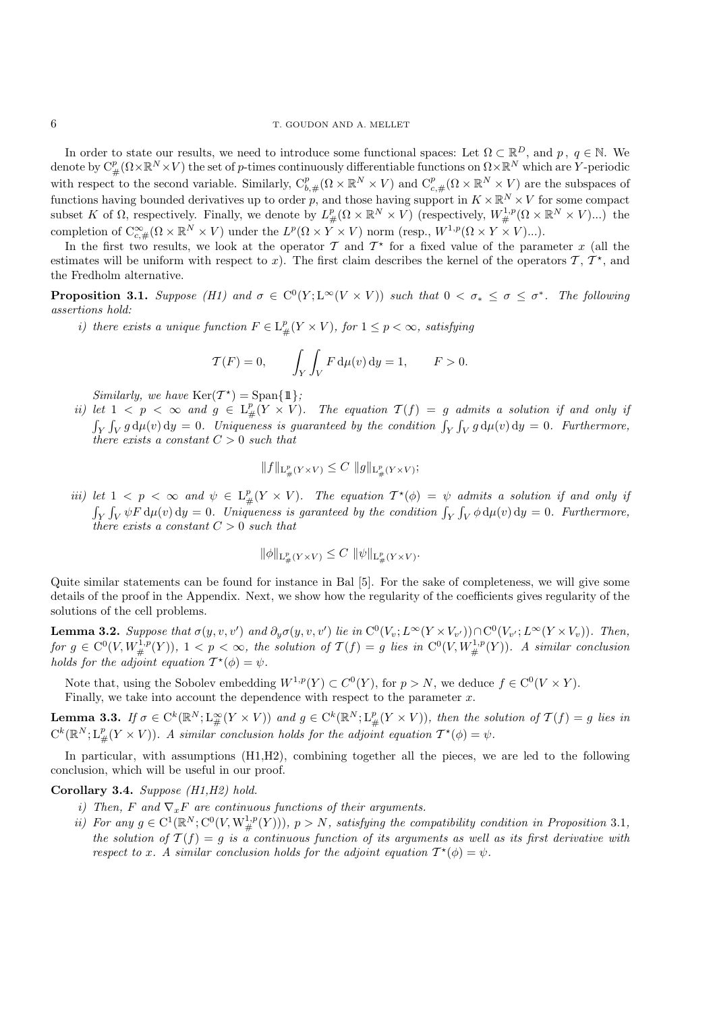In order to state our results, we need to introduce some functional spaces: Let  $\Omega \subset \mathbb{R}^D$ , and  $p, q \in \mathbb{N}$ . We denote by  $C_{\#}^p(\Omega \times \mathbb{R}^N \times V)$  the set of p-times continuously differentiable functions on  $\Omega \times \mathbb{R}^N$  which are Y-periodic with a represent to the second posible. Similarly  $C_{\#}^p$  ( $Q \times \mathbb{R}^N \times V$ ) and  $C_{\#}$ with respect to the second variable. Similarly,  $C_{b,\#}^p(\Omega \times \mathbb{R}^N \times V)$  and  $C_{c,\#}^p(\Omega \times \mathbb{R}^N \times V)$  are the subspaces of functions having bounded derivatives up to order p, and those having support in  $K \times \mathbb{R}^N \times V$  for some compact subset K of  $\Omega$ , respectively. Finally, we denote by  $L^p_{\#}(\Omega \times \mathbb{R}^N \times V)$  (respectively,  $W^{1,p}_{\#}(\Omega \times \mathbb{R}^N \times V)$ ...) the completion of  $C^{\infty}_{c,\#}(\Omega \times \mathbb{R}^N \times V)$  under the  $L^p(\Omega \times Y \times V)$  norm (resp.,  $W^{1,p}(\Omega \times$ 

In the first two results, we look at the operator  $\mathcal T$  and  $\mathcal T^*$  for a fixed value of the parameter x (all the estimates will be uniform with respect to x). The first claim describes the kernel of the operators  $\mathcal{T}, \mathcal{T}^{\star}$ , and the Fredholm alternative.

**Proposition 3.1.** *Suppose* (H1) and  $\sigma \in C^0(Y; L^\infty(V \times V))$  *such that*  $0 < \sigma_* \leq \sigma \leq \sigma^*$ *. The following assertions hold:*

*i)* there exists a unique function  $F \in L^p_{\#}(Y \times V)$ , for  $1 \leq p < \infty$ , satisfying

$$
\mathcal{T}(F) = 0, \qquad \int_Y \int_V F \, \mathrm{d}\mu(v) \, \mathrm{d}y = 1, \qquad F > 0.
$$

*Similarly, we have*  $\text{Ker}(\mathcal{T}^*) = \text{Span}\{\mathbb{1}\};$ 

*ii)* let  $1 < p < \infty$  and  $g \in L^p_{\mu}(Y \times V)$ . The equation  $T(f) = g$  admits a solution if and only if  $\int_Y \int_V g d\mu(v) dy = 0$ . Uniqueness is guaranteed by the condition  $\int_Y \int_V g d\mu(v) dy = 0$ . Furthermore, *there exists a constant* C > <sup>0</sup> *such that*

$$
||f||_{\mathrm{L}^p_{\#}(Y \times V)} \leq C ||g||_{\mathrm{L}^p_{\#}(Y \times V)};
$$

*iii)* let  $1 < p < \infty$  and  $\psi \in L^p_{\#}(Y \times V)$ . The equation  $T^*(\phi) = \psi$  admits a solution if and only if  $\int_Y \int_V \psi F d\mu(v) dy = 0$ . Uniqueness is garanteed by the condition  $\int_Y \int_V \phi d\mu(v) dy = 0$ . Furthermore, *there exists a constant* C > <sup>0</sup> *such that*

$$
\|\phi\|_{\mathrm{L}^p_{\#}(Y\times V)} \leq C \, \|\psi\|_{\mathrm{L}^p_{\#}(Y\times V)}.
$$

Quite similar statements can be found for instance in Bal [5]. For the sake of completeness, we will give some details of the proof in the Appendix. Next, we show how the regularity of the coefficients gives regularity of the solutions of the cell problems.

**Lemma 3.2.** *Suppose that*  $\sigma(y, v, v')$  *and*  $\partial_y \sigma(y, v, v')$  *lie in*  $C^0(V_v; L^{\infty}(Y \times V_{v'})) \cap C^0(V_v; L^{\infty}(Y \times V_v))$ *. Then,*<br>for  $\sigma \in C^0(V, W^{1,p}(Y))$ ,  $1 \le v \le \infty$ , the solution of  $\mathcal{T}(f) = \sigma$  lies in  $C^0(V, W^{1,p}(Y))$ , A similar c  $f \circ g \in C^0(V, W^{1,p}_\#(Y)), 1 < p < \infty$ , the solution of  $\mathcal{T}(f) = g$  lies in  $C^0(V, W^{1,p}_\#(Y))$ . A similar conclusion *holds for the adjoint equation*  $T^*(\phi) = \psi$ .

Note that, using the Sobolev embedding  $W^{1,p}(Y) \subset C^0(Y)$ , for  $p > N$ , we deduce  $f \in C^0(V \times Y)$ . Finally, we take into account the dependence with respect to the parameter  $x$ .

**Lemma 3.3.** *If*  $\sigma \in C^k(\mathbb{R}^N; L^\infty_\#(Y \times V))$  and  $g \in C^k(\mathbb{R}^N; L^p_\#(Y \times V))$ , then the solution of  $\mathcal{T}(f) = g$  lies in  $C^{k}(\mathbb{R}^{N}; L_{\#}^{p}(Y \times V)).$  A similar conclusion holds for the adjoint equation  $\mathcal{T}^{*}(\phi) = \psi$ .

In particular, with assumptions (H1,H2), combining together all the pieces, we are led to the following conclusion, which will be useful in our proof.

#### **Corollary 3.4.** *Suppose (H1,H2) hold.*

- *i)* Then, F and  $\nabla_x F$  are continuous functions of their arguments.
- *ii*) For any  $g \in C^1(\mathbb{R}^N; C^0(V, W^{1,p}_\#(Y))), p > N$ , satisfying the compatibility condition in Proposition 3.1*,* the colution of  $\mathcal{T}(f) = g$  is a continuous function of its grouponts as suell as its first derivative with *the solution of*  $\mathcal{T}(f) = q$  *is a continuous function of its arguments as well as its first derivative with respect to* x. A similar conclusion holds for the adjoint equation  $T^{\star}(\phi) = \psi$ .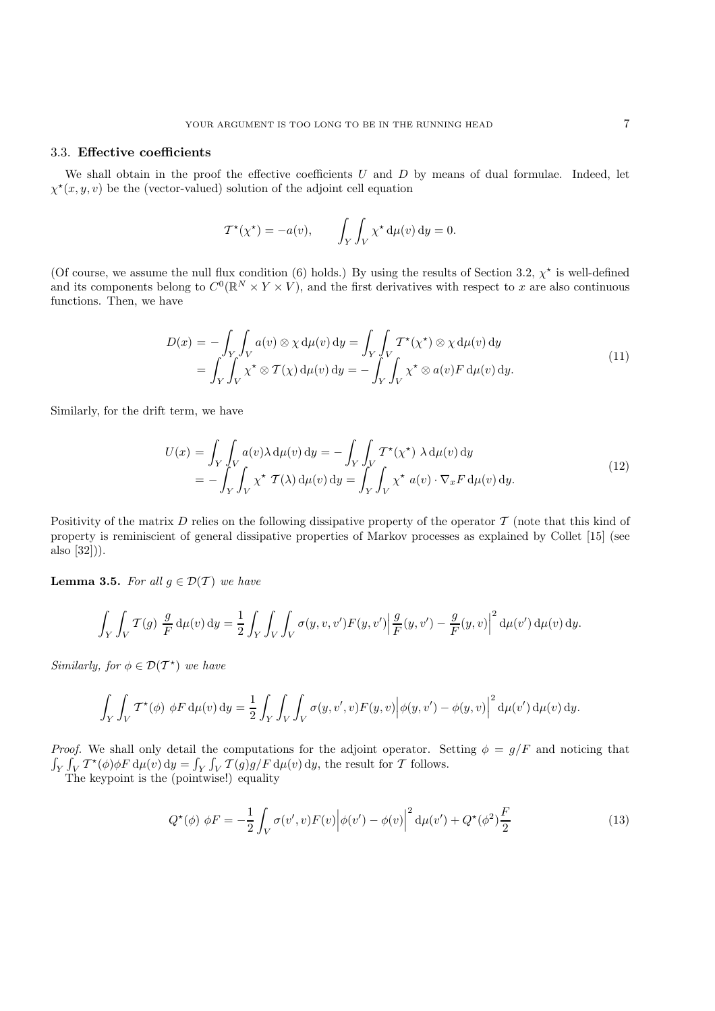### 3.3. **Effective coefficients**

We shall obtain in the proof the effective coefficients  $U$  and  $D$  by means of dual formulae. Indeed, let  $\chi^{\star}(x, y, v)$  be the (vector-valued) solution of the adjoint cell equation

$$
\mathcal{T}^{\star}(\chi^{\star}) = -a(v), \qquad \int_{Y} \int_{V} \chi^{\star} d\mu(v) dy = 0.
$$

(Of course, we assume the null flux condition (6) holds.) By using the results of Section 3.2,  $\chi^*$  is well-defined<br>and its components belong to  $C^0(\mathbb{R}^N \times V \times V)$  and the first derivatives with respect to x are also and its components belong to  $C^0(\mathbb{R}^N \times Y \times V)$ , and the first derivatives with respect to x are also continuous functions. Then, we have functions. Then, we have

$$
D(x) = -\int_{Y} \int_{V} a(v) \otimes \chi \, d\mu(v) \, dy = \int_{Y} \int_{V} T^{*}(\chi^{*}) \otimes \chi \, d\mu(v) \, dy
$$
  
= 
$$
\int_{Y} \int_{V} \chi^{*} \otimes T(\chi) \, d\mu(v) \, dy = -\int_{Y} \int_{V} \chi^{*} \otimes a(v) F \, d\mu(v) \, dy.
$$
 (11)

Similarly, for the drift term, we have

$$
U(x) = \int_{Y} \int_{V} a(v) \lambda d\mu(v) dy = - \int_{Y} \int_{V} T^{*}(\chi^{*}) \lambda d\mu(v) dy
$$
  
= 
$$
- \int_{Y} \int_{V} \chi^{*} T(\lambda) d\mu(v) dy = \int_{Y} \int_{V} \chi^{*} a(v) \cdot \nabla_{x} F d\mu(v) dy.
$$
 (12)

Positivity of the matrix D relies on the following dissipative property of the operator  $\mathcal T$  (note that this kind of property is reminiscient of general dissipative properties of Markov processes as explained by Collet [15] (see also [32])).

**Lemma 3.5.** *For all*  $g \in \mathcal{D}(\mathcal{T})$  *we have* 

$$
\int_{Y} \int_{V} \mathcal{T}(g) \frac{g}{F} d\mu(v) dy = \frac{1}{2} \int_{Y} \int_{V} \int_{V} \sigma(y, v, v') F(y, v') \left| \frac{g}{F}(y, v') - \frac{g}{F}(y, v) \right|^{2} d\mu(v') d\mu(v) dy.
$$

*Similarly, for*  $\phi \in \mathcal{D}(\mathcal{T}^*)$  *we have* 

$$
\int_Y \int_V \mathcal{T}^{\star}(\phi) \, \phi F \, \mathrm{d}\mu(v) \, \mathrm{d}y = \frac{1}{2} \int_Y \int_V \int_V \sigma(y, v', v) F(y, v) \Big| \phi(y, v') - \phi(y, v) \Big|^2 \, \mathrm{d}\mu(v') \, \mathrm{d}\mu(v) \, \mathrm{d}y.
$$

*Proof.* We shall only detail the computations for the adjoint operator. Setting  $\phi = g/F$  and noticing that  $\int_Y \int_V \mathcal{T}^*(\phi) \phi F d\mu(v) dy = \int_Y \int_V \mathcal{T}(g) g/F d\mu(v) dy$ , the result for T follows.

The keypoint is the (pointwise!) equality

$$
Q^{\star}(\phi) \phi F = -\frac{1}{2} \int_{V} \sigma(v', v) F(v) \Big| \phi(v') - \phi(v) \Big|^2 d\mu(v') + Q^{\star}(\phi^2) \frac{F}{2}
$$
 (13)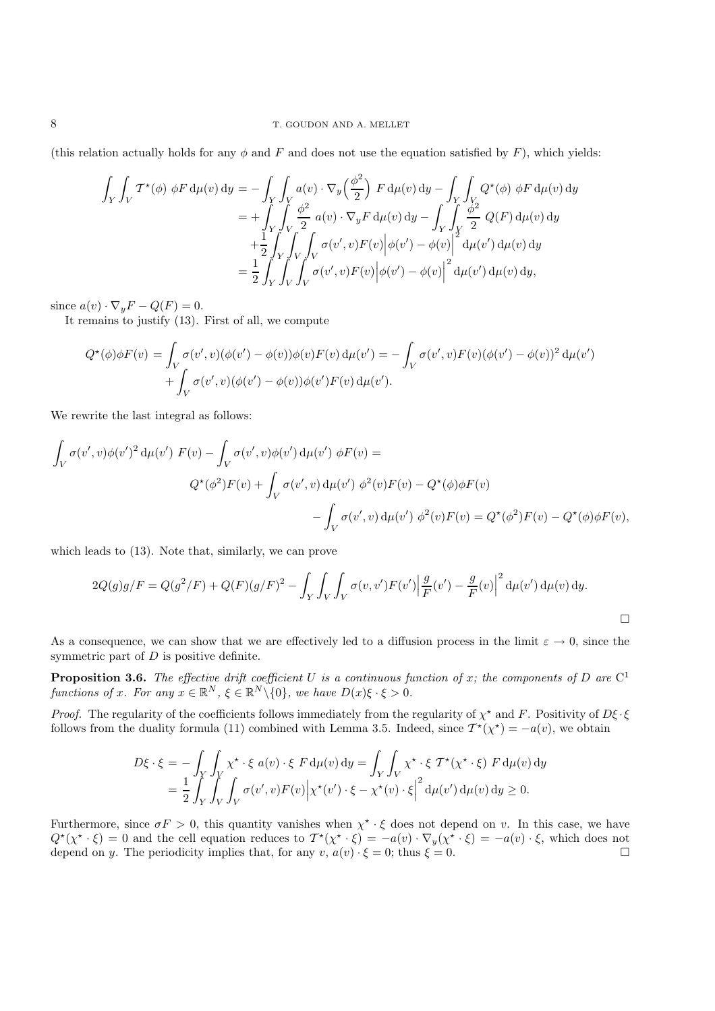(this relation actually holds for any  $\phi$  and F and does not use the equation satisfied by F), which yields:

$$
\int_{Y} \int_{V} \mathcal{T}^{*}(\phi) \phi F d\mu(v) dy = -\int_{Y} \int_{V} a(v) \cdot \nabla_{y} \left(\frac{\phi^{2}}{2}\right) F d\mu(v) dy - \int_{Y} \int_{V} Q^{*}(\phi) \phi F d\mu(v) dy \n= + \int_{Y} \int_{V} \frac{\phi^{2}}{2} a(v) \cdot \nabla_{y} F d\mu(v) dy - \int_{Y} \int_{Y} \frac{\phi^{2}}{2} Q(F) d\mu(v) dy \n+ \frac{1}{2} \int_{Y} \int_{V} \int_{V} \sigma(v', v) F(v) \Big| \phi(v') - \phi(v) \Big|^{2} d\mu(v') d\mu(v) dy \n= \frac{1}{2} \int_{Y} \int_{V} \int_{V} \sigma(v', v) F(v) \Big| \phi(v') - \phi(v) \Big|^{2} d\mu(v') d\mu(v) dy,
$$

since  $a(v) \cdot \nabla_y F - Q(F) = 0.$ 

It remains to justify (13). First of all, we compute

$$
Q^{\star}(\phi)\phi F(v) = \int_{V} \sigma(v',v)(\phi(v') - \phi(v))\phi(v)F(v) d\mu(v') = -\int_{V} \sigma(v',v)F(v)(\phi(v') - \phi(v))^2 d\mu(v') + \int_{V} \sigma(v',v)(\phi(v') - \phi(v))\phi(v')F(v) d\mu(v').
$$

We rewrite the last integral as follows:

$$
\int_{V} \sigma(v',v)\phi(v')^2 d\mu(v') F(v) - \int_{V} \sigma(v',v)\phi(v') d\mu(v') \phi F(v) =
$$
\n
$$
Q^*(\phi^2)F(v) + \int_{V} \sigma(v',v) d\mu(v') \phi^2(v)F(v) - Q^*(\phi)\phi F(v)
$$
\n
$$
- \int_{V} \sigma(v',v) d\mu(v') \phi^2(v)F(v) = Q^*(\phi^2)F(v) - Q^*(\phi)\phi F(v),
$$

which leads to (13). Note that, similarly, we can prove

$$
2Q(g)g/F = Q(g^{2}/F) + Q(F)(g/F)^{2} - \int_{Y} \int_{V} \int_{V} \sigma(v, v')F(v') \left| \frac{g}{F}(v') - \frac{g}{F}(v) \right|^{2} d\mu(v') d\mu(v) dy.
$$

As a consequence, we can show that we are effectively led to a diffusion process in the limit  $\varepsilon \to 0$ , since the symmetric part of  $D$  is positive definite.

**Proposition 3.6.** The effective drift coefficient U is a continuous function of x; the components of D are  $C^1$ *functions of x. For any*  $x \in \mathbb{R}^N$ ,  $\xi \in \mathbb{R}^N \setminus \{0\}$ , we have  $D(x)\xi \cdot \xi > 0$ .

*Proof.* The regularity of the coefficients follows immediately from the regularity of  $\chi^*$  and F. Positivity of  $D\xi \cdot \xi$ follows from the duality formula (11) combined with Lemma 3.5. Indeed, since  $T^*(\chi^*) = -a(v)$ , we obtain

$$
D\xi \cdot \xi = -\int_Y \int_Y \chi^\star \cdot \xi \, a(v) \cdot \xi \, F \, d\mu(v) \, dy = \int_Y \int_V \chi^\star \cdot \xi \, T^\star(\chi^\star \cdot \xi) \, F \, d\mu(v) \, dy
$$
  
=  $\frac{1}{2} \int_Y \int_V \int_V \sigma(v', v) F(v) \Big| \chi^\star(v') \cdot \xi - \chi^\star(v) \cdot \xi \Big|^2 d\mu(v') d\mu(v) dy \ge 0.$ 

Furthermore, since  $\sigma F > 0$ , this quantity vanishes when  $\chi^* \cdot \xi$  does not depend on v. In this case, we have  $Q^{\star}(\chi^{\star} \cdot \xi) = 0$  and the cell equation reduces to  $T^{\star}(\chi^{\star} \cdot \xi) = -a(v) \cdot \nabla_y(\chi^{\star} \cdot \xi) = -a(v) \cdot \xi$ , which does not depend on *u*. The periodicity implies that, for any *v*,  $a(v) \cdot \xi = 0$ ; thus  $\xi = 0$ . depend on y. The periodicity implies that, for any  $v, a(v) \cdot \xi = 0$ ; thus  $\xi = 0$ .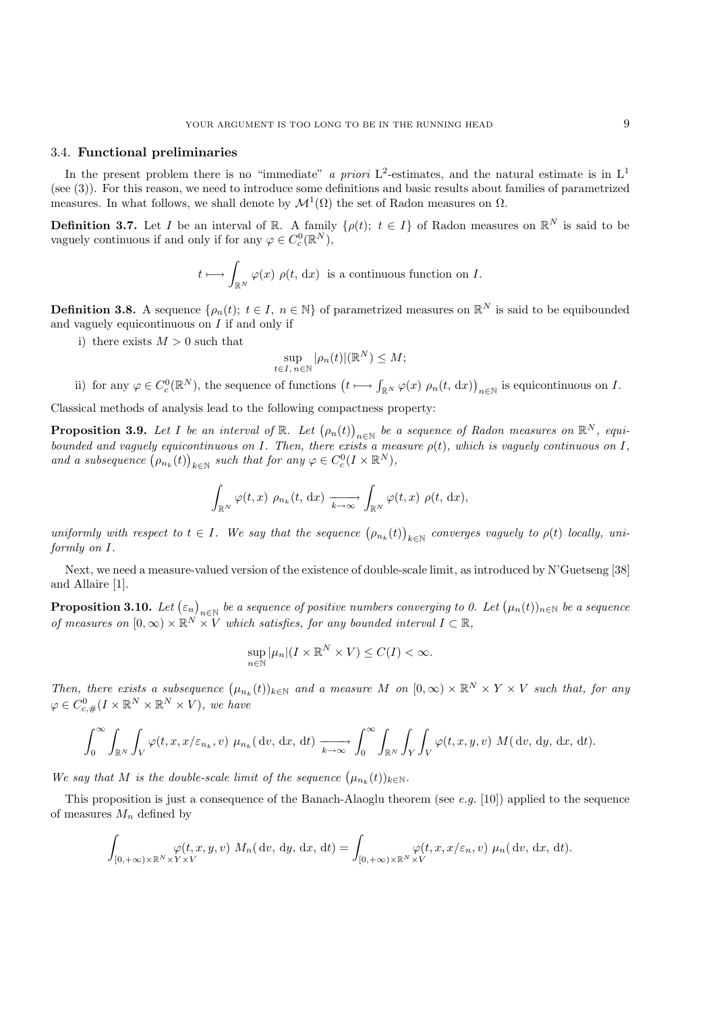### 3.4. **Functional preliminaries**

In the present problem there is no "immediate" *a priori*  $L^2$ -estimates, and the natural estimate is in  $L^1$ (see (3)). For this reason, we need to introduce some definitions and basic results about families of parametrized measures. In what follows, we shall denote by  $\mathcal{M}^1(\Omega)$  the set of Radon measures on  $\Omega$ .

**Definition 3.7.** Let I be an interval of R. A family  $\{\rho(t); t \in I\}$  of Radon measures on  $\mathbb{R}^N$  is said to be vaguely continuous if and only if for any  $\varphi \in C_c^0(\mathbb{R}^N)$ ,

$$
t \longmapsto \int_{\mathbb{R}^N} \varphi(x) \rho(t, dx)
$$
 is a continuous function on *I*.

**Definition 3.8.** A sequence  $\{\rho_n(t); t \in I, n \in \mathbb{N}\}\$  of parametrized measures on  $\mathbb{R}^N$  is said to be equibounded and vaguely equicontinuous on  $I$  if and only if

i) there exists  $M > 0$  such that

$$
\sup_{t \in I, n \in \mathbb{N}} |\rho_n(t)| (\mathbb{R}^N) \le M;
$$

ii) for any  $\varphi \in C_c^0(\mathbb{R}^N)$ , the sequence of functions  $\left(t \longmapsto \int_{\mathbb{R}^N} \varphi(x) \rho_n(t, dx)\right)_{n \in \mathbb{N}}$  is equicontinuous on I.

Classical methods of analysis lead to the following compactness property:

**Proposition 3.9.** *Let I be an interval of*  $\mathbb{R}$ *. Let*  $(\rho_n(t))_{n \in \mathbb{N}}$  *be a sequence of Radon measures on*  $\mathbb{R}^N$ *, equi-*<br>beyonded and vacualy equicationary on *I*. Then there exists a measure of the whi *bounded and vaguely equicontinuous on*  $I$ *. Then, there exists a measure*  $\rho(t)$ *, which is vaguely continuous on*  $I$ *,* and a subsequence  $(\rho_{n_k}(t))_{k \in \mathbb{N}}$  such that for any  $\varphi \in C_c^0(I \times \mathbb{R}^N)$ ,

$$
\int_{\mathbb{R}^N} \varphi(t,x) \; \rho_{n_k}(t, \, \mathrm{d}x) \xrightarrow[k \to \infty]{} \int_{\mathbb{R}^N} \varphi(t,x) \; \rho(t, \, \mathrm{d}x),
$$

 $uniformly \ with \ respect \ to \ t \in I$ . We say that the sequence  $(\rho_{n_k}(t))_{k \in \mathbb{N}}$  converges vaguely to  $\rho(t)$  *locally, uni-*<br>formly on I *formly on* I*.*

Next, we need a measure-valued version of the existence of double-scale limit, as introduced by N'Guetseng [38] and Allaire [1].

**Proposition 3.10.** *Let*  $(\varepsilon_n)_{n\in\mathbb{N}}$  *be a sequence of positive numbers converging to 0. Let*  $(\mu_n(t))_{n\in\mathbb{N}}$  *be a sequence of measures on*  $[0, \infty) \times \mathbb{R}^N \times V$  *which satisfies, for any bounded interval*  $I \subset \mathbb{R}$ *,* 

$$
\sup_{n\in\mathbb{N}}|\mu_n|(I\times\mathbb{R}^N\times V)\leq C(I)<\infty.
$$

*Then, there exists a subsequence*  $(\mu_{n_k}(t))_{k \in \mathbb{N}}$  *and a measure* M *on*  $[0, \infty) \times \mathbb{R}^N \times Y \times V$  *such that, for any*  $\varphi \in C^0_{c, \#}(I \times \mathbb{R}^N \times \mathbb{R}^N \times V)$ , we have

$$
\int_0^\infty \int_{\mathbb{R}^N} \int_V \varphi(t, x, x/\varepsilon_{n_k}, v) \mu_{n_k}(\mathrm{d}v, \mathrm{d}x, \mathrm{d}t) \xrightarrow[k \to \infty]{} \int_0^\infty \int_{\mathbb{R}^N} \int_Y \int_V \varphi(t, x, y, v) M(\mathrm{d}v, \mathrm{d}y, \mathrm{d}x, \mathrm{d}t).
$$

*We say that*  $M$  *is the double-scale limit of the sequence*  $(\mu_{n_k}(t))_{k \in \mathbb{N}}$ *.* 

This proposition is just a consequence of the Banach-Alaoglu theorem (see *e.g.* [10]) applied to the sequence of measures  $M_n$  defined by

$$
\int_{[0,+\infty)\times\mathbb{R}^N\times Y\times V} \varphi(t,x,y,v) \, M_n(\mathrm{d}v,\mathrm{d}y,\mathrm{d}x,\mathrm{d}t) = \int_{[0,+\infty)\times\mathbb{R}^N\times V} \varphi(t,x,x/\varepsilon_n,v) \, \mu_n(\mathrm{d}v,\mathrm{d}x,\mathrm{d}t).
$$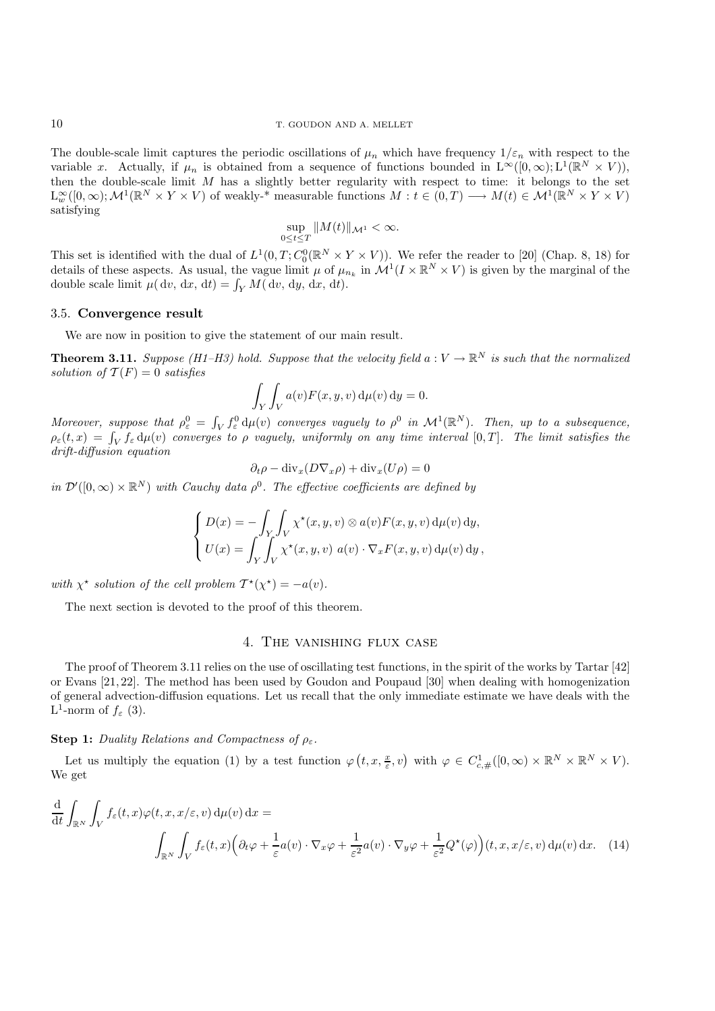The double-scale limit captures the periodic oscillations of  $\mu_n$  which have frequency  $1/\varepsilon_n$  with respect to the variable x. Actually, if  $\mu_n$  is obtained from a sequence of functions bounded in  $L^{\infty}([0,\infty); L^1(\mathbb{R}^N \times V))$ , then the double-scale limit  $M$  has a slightly better regularity with respect to time: it belongs to the set  $L^{\infty}_{\text{w}}([0,\infty); \mathcal{M}^1(\mathbb{R}^N \times Y \times V)$  of weakly-\* measurable functions  $M : t \in (0,T) \longrightarrow M(t) \in \mathcal{M}^1(\mathbb{R}^N \times Y \times V)$ satisfying

$$
\sup_{0\leq t\leq T}||M(t)||_{\mathcal{M}^1}<\infty.
$$

This set is identified with the dual of  $L^1(0,T; C_0^0(\mathbb{R}^N \times Y \times V))$ . We refer the reader to [20] (Chap. 8, 18) for  $^{0}_{0}(\mathbb{R}^{N}\times Y\times V)).$  We refer the reader to [20] (Chap. 8, 18) for it u of u in  $M^{1}(I\vee\mathbb{R}^{N}\times V)$  is given by the marginal of the details of these aspects. As usual, the vague limit  $\mu$  of  $\mu_{n_k}$  in  $\mathcal{M}^1(I \times \mathbb{R}^N \times V)$  is given by the marginal of the double scale limit  $\mu(dx) dx + \mu(dx) dx + d$ double scale limit  $\mu(\mathrm{d}v, \mathrm{d}x, \mathrm{d}t) = \int_Y M(\mathrm{d}v, \mathrm{d}y, \mathrm{d}x, \mathrm{d}t).$ 

### 3.5. **Convergence result**

We are now in position to give the statement of our main result.

**Theorem 3.11.** *Suppose (H1–H3) hold. Suppose that the velocity field*  $a: V \to \mathbb{R}^N$  *is such that the normalized solution of*  $T(F) = 0$  *satisfies* 

$$
\int_Y \int_V a(v) F(x, y, v) d\mu(v) dy = 0.
$$

*Moreover, suppose that*  $\rho_e^0 = \int_V f_e^0 d\mu(v)$  *converges vaguely to*  $\rho^0$  *in*  $\mathcal{M}^1(\mathbb{R}^N)$ *. Then, up to a subsequence,*<br> $\rho_e(t,x) = \int_V f_e^0 d\mu(v)$  converges to a vaguely uniformly on any time interval [0 T]. The lim  $\rho_{\varepsilon}(t,x) = \int_{V} f_{\varepsilon} d\mu(v)$  converges to  $\rho$  *vaguely, uniformly on any time interval*  $[0,T]$ *. The limit satisfies the*<br>drift-diffusion equation *drift-diffusion equation*

$$
\partial_t \rho - \text{div}_x (D \nabla_x \rho) + \text{div}_x (U \rho) = 0
$$

*in*  $\mathcal{D}'([0,\infty) \times \mathbb{R}^N)$  *with Cauchy data*  $\rho^0$ . The effective coefficients are defined by

$$
\begin{cases}\nD(x) = -\int_Y \int_V \chi^\star(x, y, v) \otimes a(v) F(x, y, v) d\mu(v) dy, \\
U(x) = \int_Y \int_V \chi^\star(x, y, v) a(v) \cdot \nabla_x F(x, y, v) d\mu(v) dy,\n\end{cases}
$$

*with*  $\chi^*$  *solution of the cell problem*  $T^*(\chi^*) = -a(v)$ *.* 

The next section is devoted to the proof of this theorem.

# 4. The vanishing flux case

The proof of Theorem 3.11 relies on the use of oscillating test functions, in the spirit of the works by Tartar [42] or Evans [21, 22]. The method has been used by Goudon and Poupaud [30] when dealing with homogenization of general advection-diffusion equations. Let us recall that the only immediate estimate we have deals with the L<sup>1</sup>-norm of  $f_{\varepsilon}$  (3).

### **Step 1:** *Duality Relations and Compactness of*  $\rho_{\varepsilon}$ .

Let us multiply the equation (1) by a test function  $\varphi(t, x, \frac{x}{\varepsilon}, v)$  with  $\varphi \in C^1_{c, \#}([0, \infty) \times \mathbb{R}^N \times \mathbb{R}^N \times V)$ . We get

$$
\frac{d}{dt} \int_{\mathbb{R}^N} \int_V f_{\varepsilon}(t, x) \varphi(t, x, x/\varepsilon, v) d\mu(v) dx =
$$
\n
$$
\int_{\mathbb{R}^N} \int_V f_{\varepsilon}(t, x) \left( \partial_t \varphi + \frac{1}{\varepsilon} a(v) \cdot \nabla_x \varphi + \frac{1}{\varepsilon^2} a(v) \cdot \nabla_y \varphi + \frac{1}{\varepsilon^2} Q^{\star}(\varphi) \right) (t, x, x/\varepsilon, v) d\mu(v) dx. \tag{14}
$$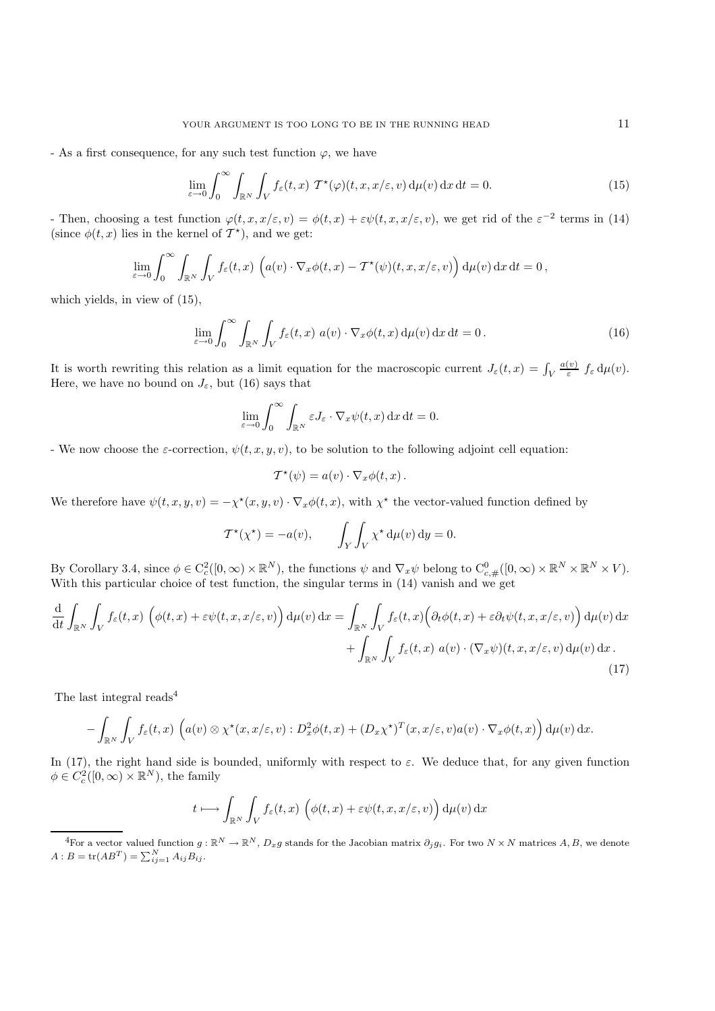- As a first consequence, for any such test function  $\varphi$ , we have

$$
\lim_{\varepsilon \to 0} \int_0^\infty \int_{\mathbb{R}^N} \int_V f_\varepsilon(t, x) \, \mathcal{T}^\star(\varphi)(t, x, x/\varepsilon, v) \, \mathrm{d}\mu(v) \, \mathrm{d}x \, \mathrm{d}t = 0. \tag{15}
$$

- Then, choosing a test function  $\varphi(t, x, x/\varepsilon, v) = \varphi(t, x) + \varepsilon \psi(t, x, x/\varepsilon, v)$ , we get rid of the  $\varepsilon^{-2}$  terms in (14) (since  $\phi(t, x)$  lies in the kernel of  $T^*$ ), and we get:

$$
\lim_{\varepsilon \to 0} \int_0^\infty \int_{\mathbb{R}^N} \int_V f_\varepsilon(t,x) \left( a(v) \cdot \nabla_x \phi(t,x) - \mathcal{T}^*(\psi)(t,x,x/\varepsilon,v) \right) d\mu(v) dx dt = 0,
$$

which yields, in view of (15),

$$
\lim_{\varepsilon \to 0} \int_0^\infty \int_{\mathbb{R}^N} \int_V f_\varepsilon(t, x) \ a(v) \cdot \nabla_x \phi(t, x) \, \mathrm{d}\mu(v) \, \mathrm{d}x \, \mathrm{d}t = 0 \,. \tag{16}
$$

It is worth rewriting this relation as a limit equation for the macroscopic current  $J_{\varepsilon}(t, x) = \int_{V}$ <br>Here we have no bound on  $I_{\varepsilon}$  but (16) says that  $\frac{a(v)}{\varepsilon} f_{\varepsilon} d\mu(v).$ Here, we have no bound on  $J_{\varepsilon}$ , but (16) says that

$$
\lim_{\varepsilon \to 0} \int_0^\infty \int_{\mathbb{R}^N} \varepsilon J_\varepsilon \cdot \nabla_x \psi(t, x) \, \mathrm{d}x \, \mathrm{d}t = 0.
$$

- We now choose the  $\varepsilon$ -correction,  $\psi(t, x, y, v)$ , to be solution to the following adjoint cell equation:

$$
\mathcal{T}^*(\psi) = a(v) \cdot \nabla_x \phi(t, x) .
$$

We therefore have  $\psi(t, x, y, v) = -\chi^*(x, y, v) \cdot \nabla_x \phi(t, x)$ , with  $\chi^*$  the vector-valued function defined by

$$
\mathcal{T}^{\star}(\chi^{\star}) = -a(v), \qquad \int_{Y} \int_{V} \chi^{\star} d\mu(v) dy = 0.
$$

By Corollary 3.4, since  $\phi \in C_c^2([0,\infty) \times \mathbb{R}^N)$ , the functions  $\psi$  and  $\nabla_x \psi$  belong to  $C_{c, \#}^0([0,\infty) \times \mathbb{R}^N \times \mathbb{R}^N \times V)$ .<br>With this particular choice of test function, the singular terms in (14) vanish and With this particular choice of test function, the singular terms in  $(14)$  vanish and we get

$$
\frac{d}{dt} \int_{\mathbb{R}^N} \int_V f_{\varepsilon}(t,x) \left( \phi(t,x) + \varepsilon \psi(t,x,x/\varepsilon,v) \right) d\mu(v) dx = \int_{\mathbb{R}^N} \int_V f_{\varepsilon}(t,x) \left( \partial_t \phi(t,x) + \varepsilon \partial_t \psi(t,x,x/\varepsilon,v) \right) d\mu(v) dx \n+ \int_{\mathbb{R}^N} \int_V f_{\varepsilon}(t,x) a(v) \cdot (\nabla_x \psi)(t,x,x/\varepsilon,v) d\mu(v) dx.
$$
\n(17)

The last integral reads<sup>4</sup>

$$
- \int_{\mathbb{R}^N} \int_V f_{\varepsilon}(t,x) \left( a(v) \otimes \chi^{\star}(x,x/\varepsilon,v) : D_x^2 \phi(t,x) + (D_x \chi^{\star})^T(x,x/\varepsilon,v) a(v) \cdot \nabla_x \phi(t,x) \right) d\mu(v) dx.
$$

In (17), the right hand side is bounded, uniformly with respect to  $\varepsilon$ . We deduce that, for any given function  $\phi \in C_c^2([0,\infty) \times \mathbb{R}^N)$ , the family

$$
t \longmapsto \int_{\mathbb{R}^N} \int_V f_{\varepsilon}(t,x) \left( \phi(t,x) + \varepsilon \psi(t,x,x/\varepsilon,v) \right) d\mu(v) dx
$$

<sup>&</sup>lt;sup>4</sup>For a vector valued function  $g : \mathbb{R}^N \to \mathbb{R}^N$ ,  $D_x g$  stands for the Jacobian matrix  $\partial_j g_i$ . For two  $N \times N$  matrices  $A, B$ , we denote  $A : B = \text{tr}(AB^T) = \sum_{ij=1}^{N} A_{ij} B_{ij}.$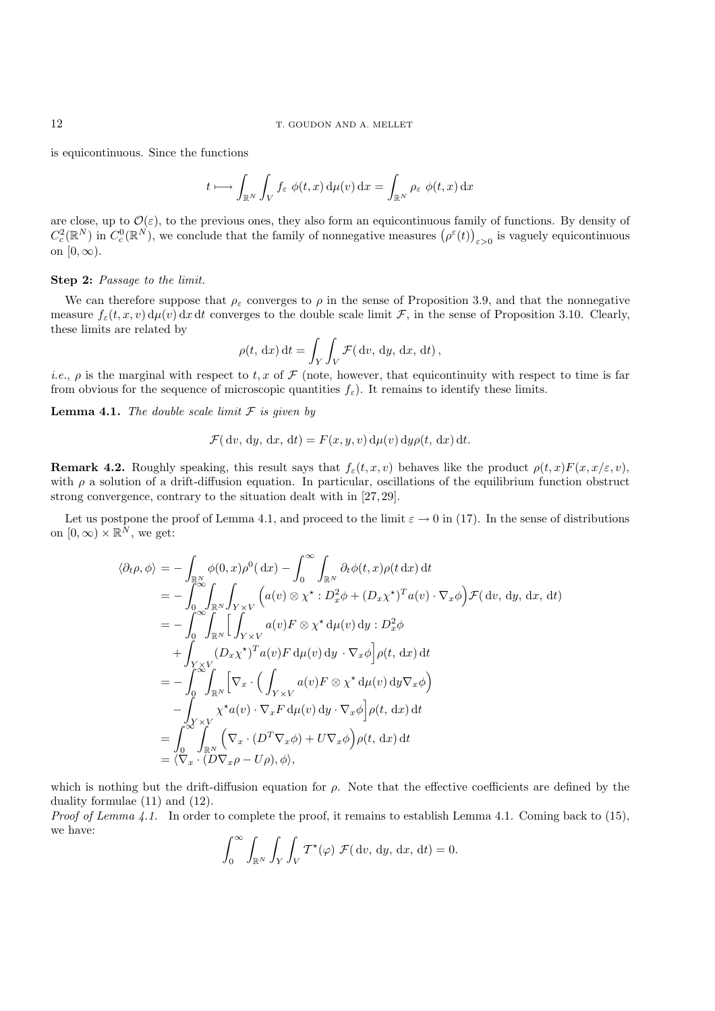### 12 T. GOUDON AND A. MELLET

is equicontinuous. Since the functions

$$
t \longmapsto \int_{\mathbb{R}^N} \int_V f_{\varepsilon} \phi(t, x) \, \mathrm{d}\mu(v) \, \mathrm{d}x = \int_{\mathbb{R}^N} \rho_{\varepsilon} \phi(t, x) \, \mathrm{d}x
$$

are close, up to  $\mathcal{O}(\varepsilon)$ , to the previous ones, they also form an equicontinuous family of functions. By density of  $C_c^2(\mathbb{R}^N)$  in  $C_c^0(\mathbb{R}^N)$ , we conclude that the family of nonnegative measures  $(\rho^{\varepsilon}(t))_{\varepsilon>0}$  is vaguely equicontinuous on  $[0, \infty)$ .

#### **Step 2:** *Passage to the limit.*

We can therefore suppose that  $\rho_{\varepsilon}$  converges to  $\rho$  in the sense of Proposition 3.9, and that the nonnegative measure  $f_{\varepsilon}(t, x, v) d\mu(v) dx dt$  converges to the double scale limit F, in the sense of Proposition 3.10. Clearly, these limits are related by

$$
\rho(t, dx) dt = \int_Y \int_Y \mathcal{F}(dv, dy, dx, dt),
$$

*i.e.*,  $\rho$  is the marginal with respect to t, x of F (note, however, that equicontinuity with respect to time is far from obvious for the sequence of microscopic quantities  $f_{\epsilon}$ ). It remains to identify these limits.

**Lemma 4.1.** *The double scale limit* F *is given by*

$$
\mathcal{F}(\mathrm{d}v, \mathrm{d}y, \mathrm{d}x, \mathrm{d}t) = F(x, y, v) \,\mathrm{d}\mu(v) \,\mathrm{d}y \rho(t, \mathrm{d}x) \,\mathrm{d}t.
$$

**Remark 4.2.** Roughly speaking, this result says that  $f_{\varepsilon}(t, x, v)$  behaves like the product  $\rho(t, x)F(x, x/\varepsilon, v)$ , with  $\rho$  a solution of a drift-diffusion equation. In particular, oscillations of the equilibrium function obstruct strong convergence, contrary to the situation dealt with in [27, 29].

Let us postpone the proof of Lemma 4.1, and proceed to the limit  $\varepsilon \to 0$  in (17). In the sense of distributions on  $[0, \infty) \times \mathbb{R}^N$ , we get:

$$
\langle \partial_t \rho, \phi \rangle = - \int_{\mathbb{R}^N} \phi(0, x) \rho^0(\, \mathrm{d}x) - \int_0^\infty \int_{\mathbb{R}^N} \partial_t \phi(t, x) \rho(t \, \mathrm{d}x) \, \mathrm{d}t \n= - \int_0^\infty \int_{\mathbb{R}^N} \int_{Y \times V} \left( a(v) \otimes \chi^* : D_x^2 \phi + (D_x \chi^*)^T a(v) \cdot \nabla_x \phi \right) \mathcal{F}(\, \mathrm{d}v, \, \mathrm{d}y, \, \mathrm{d}x, \, \mathrm{d}t) \n= - \int_0^\infty \int_{\mathbb{R}^N} \left[ \int_{Y \times V} a(v) F \otimes \chi^* \, \mathrm{d}\mu(v) \, \mathrm{d}y : D_x^2 \phi \n+ \int_{Y \times V} (D_x \chi^*)^T a(v) F \, \mathrm{d}\mu(v) \, \mathrm{d}y \cdot \nabla_x \phi \right] \rho(t, \, \mathrm{d}x) \, \mathrm{d}t \n= - \int_0^\infty \int_{\mathbb{R}^N} \left[ \nabla_x \cdot \left( \int_{Y \times V} a(v) F \otimes \chi^* \, \mathrm{d}\mu(v) \, \mathrm{d}y \nabla_x \phi \right) \n- \int_{Y \times V} \chi^* a(v) \cdot \nabla_x F \, \mathrm{d}\mu(v) \, \mathrm{d}y \cdot \nabla_x \phi \right] \rho(t, \, \mathrm{d}x) \, \mathrm{d}t \n= \int_0^\infty \int_{\mathbb{R}^N} \left( \nabla_x \cdot (D^T \nabla_x \phi) + U \nabla_x \phi \right) \rho(t, \, \mathrm{d}x) \, \mathrm{d}t \n= \langle \nabla_x \cdot (D \nabla_x \rho - U \rho), \phi \rangle,
$$

which is nothing but the drift-diffusion equation for  $\rho$ . Note that the effective coefficients are defined by the duality formulae (11) and (12).

*Proof of Lemma 4.1.* In order to complete the proof, it remains to establish Lemma 4.1. Coming back to (15), we have:

$$
\int_0^\infty \int_{\mathbb{R}^N} \int_Y \int_V \mathcal{T}^*(\varphi) \ \mathcal{F}(\mathrm{d}v, \mathrm{d}y, \mathrm{d}x, \mathrm{d}t) = 0.
$$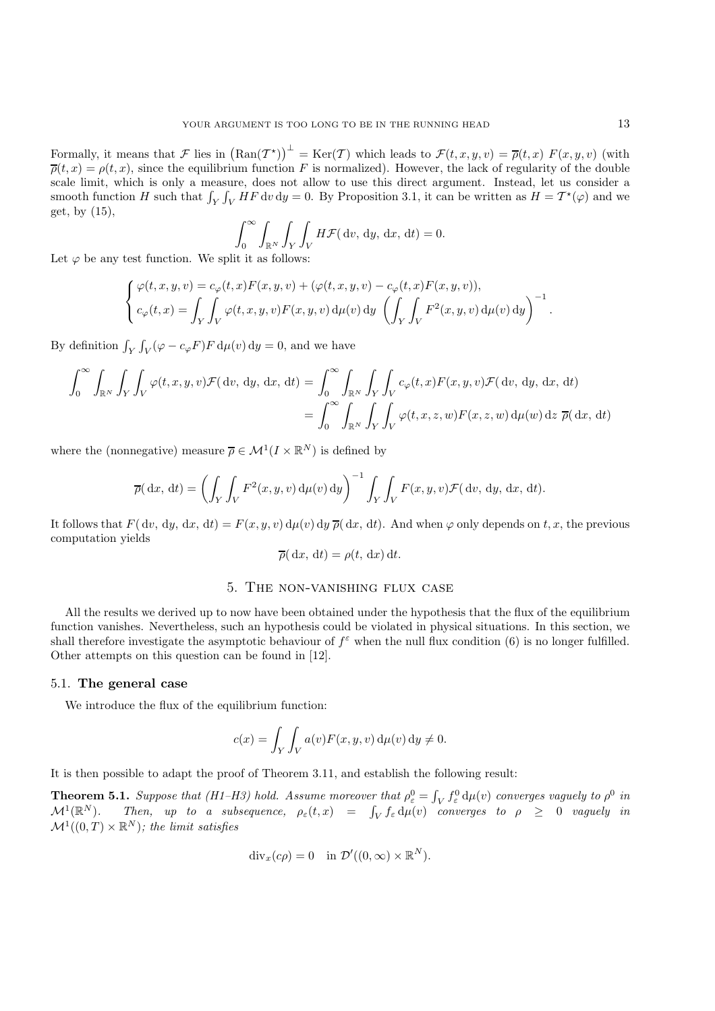Formally, it means that F lies in  $(\text{Ran}(\mathcal{T}^*))^{\perp} = \text{Ker}(\mathcal{T})$  which leads to  $\mathcal{F}(t, x, y, v) = \overline{\rho}(t, x) F(x, y, v)$  (with  $\overline{\rho}(t, x) = \rho(t, x)$  since the equilibrium function F is normalized). However, the lack of requlari  $\overline{\rho}(t,x) = \rho(t,x)$ , since the equilibrium function F is normalized). However, the lack of regularity of the double<br>scale limit, which is only a measure, does not allow to use this direct argument. Instead, let us consider scale limit, which is only a measure, does not allow to use this direct argument. Instead, let us consider a smooth function H such that  $\int_Y \int_V HF \, dv \, dy = 0$ . By Proposition 3.1, it can be written as  $H = \mathcal{T}^*(\varphi)$  and we get, by (15),

$$
\int_0^\infty \int_{\mathbb{R}^N} \int_Y \int_Y H \mathcal{F}(\mathrm{d}v, \mathrm{d}y, \mathrm{d}x, \mathrm{d}t) = 0.
$$

Let  $\varphi$  be any test function. We split it as follows:

$$
\begin{cases}\n\varphi(t,x,y,v) = c_{\varphi}(t,x)F(x,y,v) + (\varphi(t,x,y,v) - c_{\varphi}(t,x)F(x,y,v)), \\
c_{\varphi}(t,x) = \int_Y \int_V \varphi(t,x,y,v)F(x,y,v) d\mu(v) dy \left(\int_Y \int_V F^2(x,y,v) d\mu(v) dy\right)^{-1}.\n\end{cases}
$$

By definition  $\int_Y \int_V (\varphi - c_\varphi F) F d\mu(v) dy = 0$ , and we have

$$
\int_0^\infty \int_{\mathbb{R}^N} \int_Y \int_V \varphi(t, x, y, v) \mathcal{F}(\mathrm{d}v, \mathrm{d}y, \mathrm{d}x, \mathrm{d}t) = \int_0^\infty \int_{\mathbb{R}^N} \int_Y \int_V c_\varphi(t, x) F(x, y, v) \mathcal{F}(\mathrm{d}v, \mathrm{d}y, \mathrm{d}x, \mathrm{d}t)
$$

$$
= \int_0^\infty \int_{\mathbb{R}^N} \int_Y \int_V \varphi(t, x, z, w) F(x, z, w) \mathrm{d}\mu(w) \mathrm{d}z \ \overline{\rho}(\mathrm{d}x, \mathrm{d}t)
$$

where the (nonnegative) measure  $\overline{\rho} \in \mathcal{M}^1(I \times \mathbb{R}^N)$  is defined by

$$
\overline{\rho}(\mathrm{d}x,\mathrm{d}t) = \left(\int_Y \int_V F^2(x,y,v) \,\mathrm{d}\mu(v) \,\mathrm{d}y\right)^{-1} \int_Y \int_V F(x,y,v) \mathcal{F}(\mathrm{d}v,\mathrm{d}y,\mathrm{d}x,\mathrm{d}t).
$$

It follows that  $F(\, dv, \, dy, \, dx, \, dt) = F(x, y, v) \, d\mu(v) \, dy \, \overline{\rho}(\, dx, \, dt)$ . And when  $\varphi$  only depends on t, x, the previous computation yields

$$
\overline{\rho}(\mathrm{d}x,\mathrm{d}t) = \rho(t,\mathrm{d}x)\mathrm{d}t.
$$

# 5. The non-vanishing flux case

All the results we derived up to now have been obtained under the hypothesis that the flux of the equilibrium function vanishes. Nevertheless, such an hypothesis could be violated in physical situations. In this section, we shall therefore investigate the asymptotic behaviour of  $f^{\epsilon}$  when the null flux condition (6) is no longer fulfilled. Other attempts on this question can be found in [12].

#### 5.1. **The general case**

We introduce the flux of the equilibrium function:

$$
c(x) = \int_Y \int_V a(v) F(x, y, v) d\mu(v) dy \neq 0.
$$

It is then possible to adapt the proof of Theorem 3.11, and establish the following result:

**Theorem 5.1.** *Suppose that*  $(H1-H3)$  *hold. Assume moreover that*  $\rho_e^0 = \int_V f_e^0 d\mu(v)$  *converges vaguely to*  $\rho^0$  *in*  $M^{1(\mathbb{R}^N)}$ . Then  $\mu v$  to a subsequence  $\rho$  (t x) = f t du(v) converges to  $\rho > 0$  example, i  $\mathcal{M}^1(\mathbb{R}^N)$ . Then, up to a subsequence,  $\rho_{\varepsilon}(t,x) = \int_V f_{\varepsilon} d\mu(v)$  converges to  $\rho \geq 0$  vaguely in  $\mathcal{M}^1((0,T) \times \mathbb{R}^N)$ , the limit estisfies  $\mathcal{M}^1((0,T)\times\mathbb{R}^N)$ ; the limit satisfies

$$
\operatorname{div}_x(c\rho) = 0 \quad \text{in } \mathcal{D}'((0,\infty) \times \mathbb{R}^N).
$$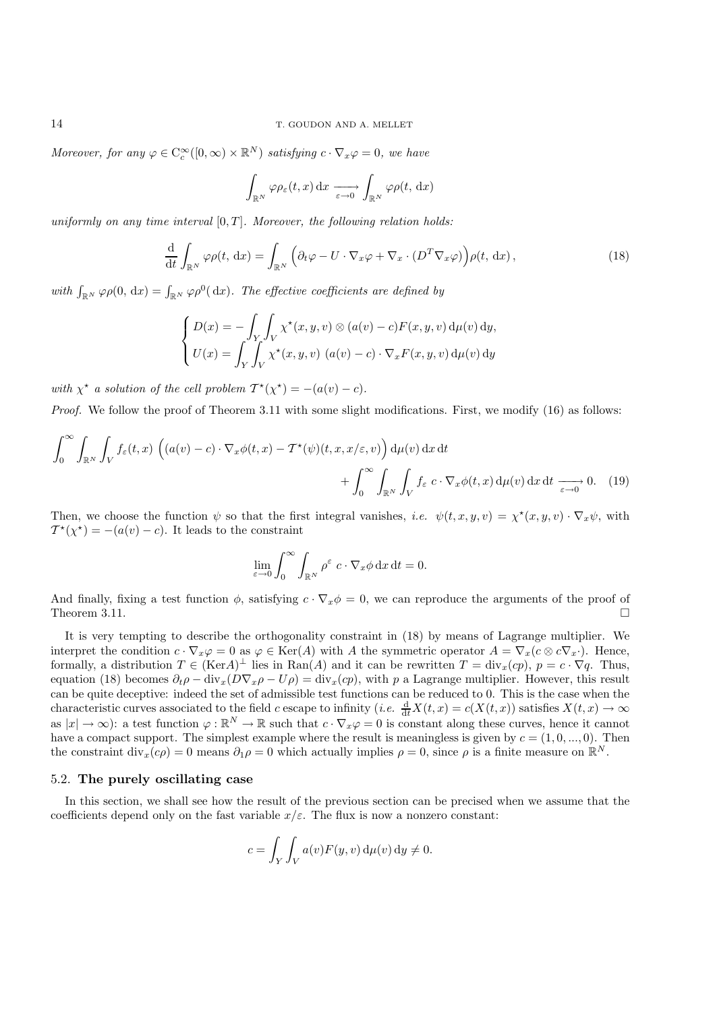*Moreover, for any*  $\varphi \in C_c^{\infty}([0, \infty) \times \mathbb{R}^N)$  *satisfying*  $c \cdot \nabla_x \varphi = 0$ *, we have* 

$$
\int_{\mathbb{R}^N} \varphi \rho_{\varepsilon}(t, x) \, dx \xrightarrow[\varepsilon \to 0]{} \int_{\mathbb{R}^N} \varphi \rho(t, dx)
$$

*uniformly on any time interval*  $[0, T]$ *. Moreover, the following relation holds:* 

$$
\frac{\mathrm{d}}{\mathrm{d}t} \int_{\mathbb{R}^N} \varphi \rho(t, \, \mathrm{d}x) = \int_{\mathbb{R}^N} \left( \partial_t \varphi - U \cdot \nabla_x \varphi + \nabla_x \cdot (D^T \nabla_x \varphi) \right) \rho(t, \, \mathrm{d}x),\tag{18}
$$

with  $\int_{\mathbb{R}^N} \varphi \rho(0, dx) = \int_{\mathbb{R}^N} \varphi \rho^0(dx)$ . The effective coefficients are defined by

$$
\begin{cases}\nD(x) = -\int_Y \int_V \chi^\star(x, y, v) \otimes (a(v) - c) F(x, y, v) d\mu(v) dy, \\
U(x) = \int_Y \int_V \chi^\star(x, y, v) (a(v) - c) \cdot \nabla_x F(x, y, v) d\mu(v) dy\n\end{cases}
$$

*with*  $\chi^*$  *a solution of the cell problem*  $T^*(\chi^*) = -(a(v) - c)$ *.* 

*Proof.* We follow the proof of Theorem 3.11 with some slight modifications. First, we modify (16) as follows:

$$
\int_0^{\infty} \int_{\mathbb{R}^N} \int_V f_{\varepsilon}(t,x) \left( (a(v) - c) \cdot \nabla_x \phi(t,x) - \mathcal{T}^{\star}(\psi)(t,x,x/\varepsilon,v) \right) d\mu(v) dx dt + \int_0^{\infty} \int_{\mathbb{R}^N} \int_V f_{\varepsilon} c \cdot \nabla_x \phi(t,x) d\mu(v) dx dt \xrightarrow[\varepsilon \to 0]{} 0. \quad (19)
$$

Then, we choose the function  $\psi$  so that the first integral vanishes, *i.e.*  $\psi(t, x, y, v) = \chi^*(x, y, v) \cdot \nabla_x \psi$ , with  $T^*(\chi^*) = -(a(v) - c)$ . It leads to the constraint

$$
\lim_{\varepsilon \to 0} \int_0^\infty \int_{\mathbb{R}^N} \rho^\varepsilon c \cdot \nabla_x \phi \,dx \,dt = 0.
$$

And finally, fixing a test function  $\phi$ , satisfying  $c \cdot \nabla_x \phi = 0$ , we can reproduce the arguments of the proof of Theorem 3.11 Theorem 3.11.

It is very tempting to describe the orthogonality constraint in (18) by means of Lagrange multiplier. We interpret the condition  $c \cdot \nabla_x \varphi = 0$  as  $\varphi \in \text{Ker}(A)$  with A the symmetric operator  $A = \nabla_x (c \otimes c \nabla_x)$ . Hence, formally, a distribution  $T \in (\text{Ker}A)^{\perp}$  lies in  $\text{Ran}(A)$  and it can be rewritten  $T = \text{div}_x(ep)$ ,  $p = c \cdot \nabla q$ . Thus, equation (18) becomes  $\partial_t \rho - \text{div}_x(D\nabla_x \rho - U\rho) = \text{div}_x(ep)$ , with p a Lagrange multiplier. However, this result can be quite deceptive: indeed the set of admissible test functions can be reduced to 0. This is the case when the characteristic curves associated to the field c escape to infinity (*i.e.*  $\frac{d}{dt}X(t, x) = c(X(t, x))$  satisfies  $X(t, x) \to \infty$ as  $|x| \to \infty$ : a test function  $\varphi : \mathbb{R}^N \to \mathbb{R}$  such that  $c \cdot \nabla_x \varphi = 0$  is constant along these curves, hence it cannot have a compact support. The simplest example where the result is meaningless is given by  $c = (1, 0, ..., 0)$ . Then the constraint div<sub>x</sub>(cρ) = 0 means  $\partial_1 \rho = 0$  which actually implies  $\rho = 0$ , since  $\rho$  is a finite measure on  $\mathbb{R}^N$ .

### 5.2. **The purely oscillating case**

In this section, we shall see how the result of the previous section can be precised when we assume that the coefficients depend only on the fast variable  $x/\varepsilon$ . The flux is now a nonzero constant:

$$
c = \int_{Y} \int_{V} a(v) F(y, v) d\mu(v) dy \neq 0.
$$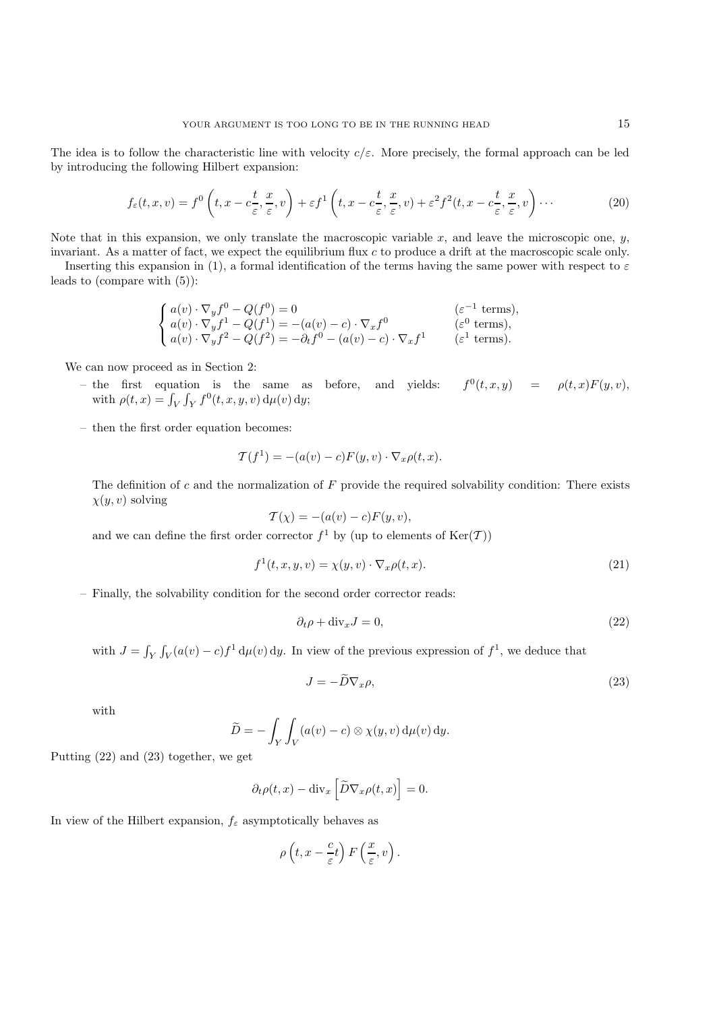The idea is to follow the characteristic line with velocity  $c/\varepsilon$ . More precisely, the formal approach can be led by introducing the following Hilbert expansion:

$$
f_{\varepsilon}(t,x,v) = f^0\left(t, x - c\frac{t}{\varepsilon}, \frac{x}{\varepsilon}, v\right) + \varepsilon f^1\left(t, x - c\frac{t}{\varepsilon}, \frac{x}{\varepsilon}, v\right) + \varepsilon^2 f^2(t, x - c\frac{t}{\varepsilon}, \frac{x}{\varepsilon}, v\right) \cdots
$$
 (20)

Note that in this expansion, we only translate the macroscopic variable x, and leave the microscopic one,  $y$ , invariant. As a matter of fact, we expect the equilibrium flux c to produce a drift at the macroscopic scale only.

Inserting this expansion in (1), a formal identification of the terms having the same power with respect to  $\varepsilon$ leads to (compare with (5)):

$$
\begin{cases}\na(v)\cdot\nabla_y f^0 - Q(f^0) = 0 & (\varepsilon^{-1} \text{ terms}), \\
a(v)\cdot\nabla_y f^1 - Q(f^1) = -(a(v) - c)\cdot\nabla_x f^0 & (\varepsilon^0 \text{ terms}), \\
a(v)\cdot\nabla_y f^2 - Q(f^2) = -\partial_t f^0 - (a(v) - c)\cdot\nabla_x f^1 & (\varepsilon^1 \text{ terms}).\n\end{cases}
$$

We can now proceed as in Section 2:

- the first equation is the same as before, and yields:  $f^{0}(t, x, y) = \rho(t, x)F(y, v)$ , with  $\rho(t, x) = \int_V \int_Y f^0(t, x, y, v) d\mu(v) dy;$
- then the first order equation becomes:

$$
\mathcal{T}(f^1) = -(a(v) - c)F(y, v) \cdot \nabla_x \rho(t, x).
$$

The definition of c and the normalization of  $F$  provide the required solvability condition: There exists  $\chi(y, v)$  solving

$$
\mathcal{T}(\chi) = -(a(v) - c)F(y, v),
$$

and we can define the first order corrector  $f^1$  by (up to elements of  $\text{Ker}(\mathcal{T})$ )

$$
f^{1}(t, x, y, v) = \chi(y, v) \cdot \nabla_{x} \rho(t, x).
$$
\n(21)

– Finally, the solvability condition for the second order corrector reads:

$$
\partial_t \rho + \text{div}_x J = 0,\tag{22}
$$

with  $J = \int_Y \int_V (a(v) - c) f^1 d\mu(v) dy$ . In view of the previous expression of  $f^1$ , we deduce that

$$
J = -\tilde{D}\nabla_x \rho,\tag{23}
$$

with

$$
\widetilde{D} = -\int_Y \int_V (a(v) - c) \otimes \chi(y, v) d\mu(v) dy.
$$

Putting (22) and (23) together, we get

$$
\partial_t \rho(t, x) - \text{div}_x \left[ \widetilde{D} \nabla_x \rho(t, x) \right] = 0.
$$

In view of the Hilbert expansion,  $f_{\varepsilon}$  asymptotically behaves as

$$
\rho\left(t,x-\frac{c}{\varepsilon}t\right)F\left(\frac{x}{\varepsilon},v\right).
$$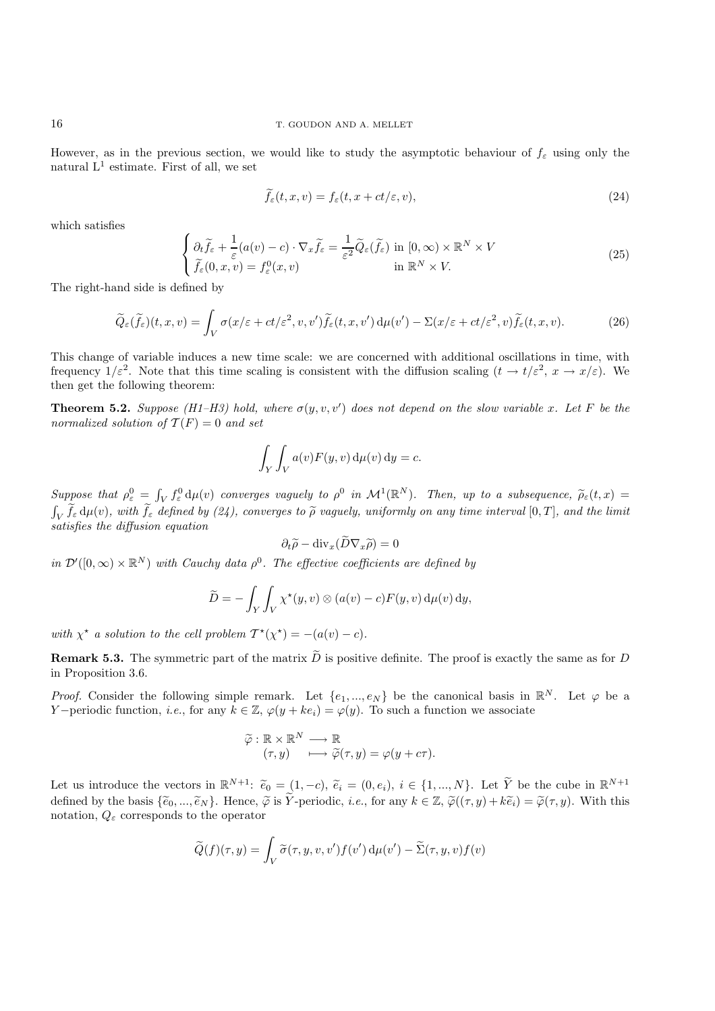However, as in the previous section, we would like to study the asymptotic behaviour of  $f_{\varepsilon}$  using only the natural  $L^1$  estimate. First of all, we set

$$
f_{\varepsilon}(t, x, v) = f_{\varepsilon}(t, x + ct/\varepsilon, v), \tag{24}
$$

which satisfies

$$
\begin{cases} \partial_t \tilde{f}_{\varepsilon} + \frac{1}{\varepsilon} (a(v) - c) \cdot \nabla_x \tilde{f}_{\varepsilon} = \frac{1}{\varepsilon^2} \tilde{Q}_{\varepsilon}(\tilde{f}_{\varepsilon}) \text{ in } [0, \infty) \times \mathbb{R}^N \times V \\ \tilde{f}_{\varepsilon}(0, x, v) = f_{\varepsilon}^0(x, v) \qquad \text{in } \mathbb{R}^N \times V. \end{cases}
$$
 (25)

The right-hand side is defined by

$$
\widetilde{Q}_{\varepsilon}(\widetilde{f}_{\varepsilon})(t,x,v) = \int_{V} \sigma(x/\varepsilon + ct/\varepsilon^{2}, v, v') \widetilde{f}_{\varepsilon}(t,x,v') d\mu(v') - \Sigma(x/\varepsilon + ct/\varepsilon^{2}, v) \widetilde{f}_{\varepsilon}(t,x,v). \tag{26}
$$

This change of variable induces a new time scale: we are concerned with additional oscillations in time, with frequency  $1/\varepsilon^2$ . Note that this time scaling is consistent with the diffusion scaling  $(t \to t/\varepsilon^2, x \to x/\varepsilon)$ . We then get the following theorem:

**Theorem 5.2.** *Suppose* (H1–H3) hold, where  $\sigma(y, v, v')$  does not depend on the slow variable x. Let F be the parmalized solution of  $\mathcal{T}(F) = 0$  and set *normalized solution of*  $T(F) = 0$  *and set* 

$$
\int_Y \int_V a(v) F(y, v) d\mu(v) dy = c.
$$

*Suppose that*  $\rho_e^0 = \int_V f_e^0 d\mu(v)$  *converges vaguely to*  $\rho^0$  *in*  $\mathcal{M}^1(\mathbb{R}^N)$ *. Then, up to a subsequence,*  $\rho_{\varepsilon}(t, x) =$  $\int_V \widetilde{f}_{\varepsilon} d\mu(v)$ , with  $\widetilde{f}_{\varepsilon}$  defined by (24), converges to  $\widetilde{\rho}$  vaguely, uniformly on any time interval  $[0, T]$ , and the limit existence the diffusion equation  $J_V^{\prime}$   $J_{\varepsilon}$  and  $J_{\varepsilon}$  action equation<br>satisfies the diffusion equation

$$
\partial_t \widetilde{\rho} - \text{div}_x (D \nabla_x \widetilde{\rho}) = 0
$$

*in*  $\mathcal{D}'([0,\infty) \times \mathbb{R}^N)$  *with Cauchy data*  $\rho^0$ *. The effective coefficients are defined by* 

$$
\widetilde{D} = -\int_Y \int_V \chi^*(y, v) \otimes (a(v) - c) F(y, v) d\mu(v) dy,
$$

*with*  $\chi^*$  *a solution to the cell problem*  $T^*(\chi^*) = -(a(v) - c)$ *.* 

**Remark 5.3.** The symmetric part of the matrix  $\tilde{D}$  is positive definite. The proof is exactly the same as for D in Proposition 3.6.

*Proof.* Consider the following simple remark. Let  $\{e_1, ..., e_N\}$  be the canonical basis in  $\mathbb{R}^N$ . Let  $\varphi$  be a Y – periodic function, *i.e.*, for any  $k \in \mathbb{Z}$ ,  $\varphi(y + ke_i) = \varphi(y)$ . To such a function we associate

$$
\widetilde{\varphi}: \mathbb{R} \times \mathbb{R}^N \longrightarrow \mathbb{R} \n(\tau, y) \longrightarrow \widetilde{\varphi}(\tau, y) = \varphi(y + c\tau).
$$

Let us introduce the vectors in  $\mathbb{R}^{N+1}$ :  $\widetilde{e}_0 = (1, -c), \widetilde{e}_i = (0, e_i), i \in \{1, ..., N\}$ . Let  $\widetilde{Y}$  be the cube in  $\mathbb{R}^{N+1}$ defined by the basis  $\{\tilde{e}_0, ..., \tilde{e}_N\}$ . Hence,  $\tilde{\varphi}$  is  $\tilde{Y}$ -periodic, *i.e.*, for any  $k \in \mathbb{Z}, \tilde{\varphi}((\tau, y) + k\tilde{e}_i) = \tilde{\varphi}(\tau, y)$ . With this notation,  $Q_{\varepsilon}$  corresponds to the operator

$$
\widetilde{Q}(f)(\tau,y) = \int_V \widetilde{\sigma}(\tau,y,v,v') f(v') \,d\mu(v') - \widetilde{\Sigma}(\tau,y,v) f(v)
$$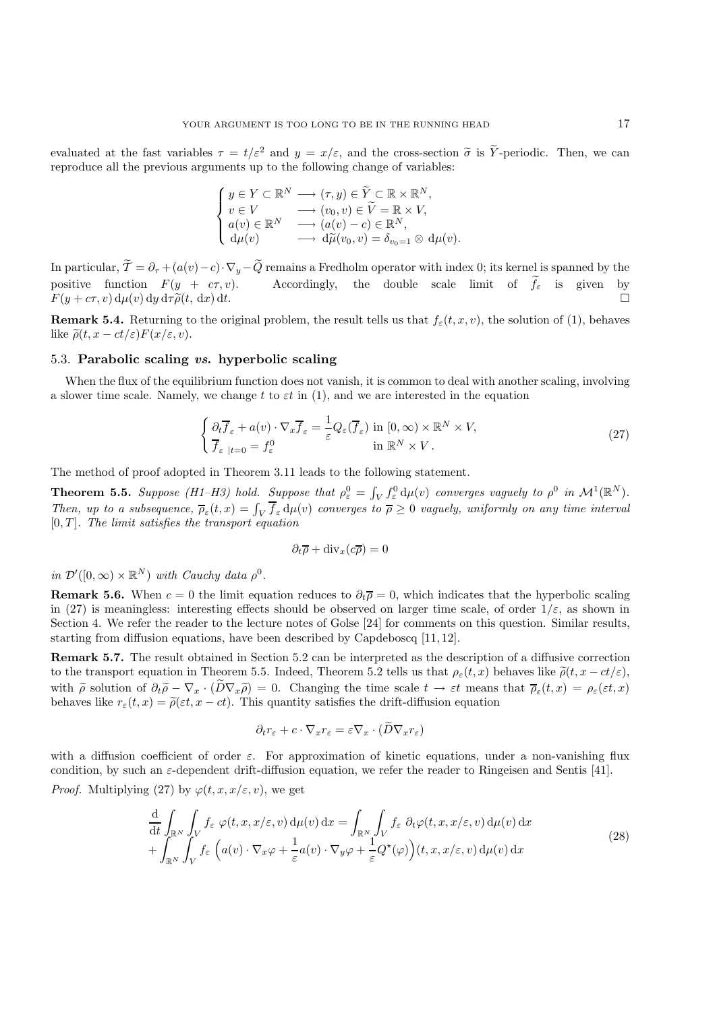evaluated at the fast variables  $\tau = t/\varepsilon^2$  and  $y = x/\varepsilon$ , and the cross-section  $\tilde{\sigma}$  is  $\tilde{Y}$ -periodic. Then, we can reproduce all the previous arguments up to the following change of variables:

$$
\begin{cases}\ny \in Y \subset \mathbb{R}^N \longrightarrow (\tau, y) \in \widetilde{Y} \subset \mathbb{R} \times \mathbb{R}^N, \\
v \in V \longrightarrow (v_0, v) \in \widetilde{V} = \mathbb{R} \times V, \\
a(v) \in \mathbb{R}^N \longrightarrow (a(v) - c) \in \mathbb{R}^N, \\
d\mu(v) \longrightarrow d\widetilde{\mu}(v_0, v) = \delta_{v_0 = 1} \otimes d\mu(v).\n\end{cases}
$$

In particular,  $\mathcal{T} = \partial_{\tau} + (a(v) - c) \cdot \nabla_y - Q$  remains a Fredholm operator with index 0; its kernel is spanned by the positive function  $F(y + c\tau, v)$ . Accordingly, the double scale limit of  $f_{\varepsilon}$  is given by  $F(y + c\tau, v) d\mu(x) d\tau \tilde{\rho}(t, d\tau) dt$  $F(y + c\tau, v) d\mu(v) dy d\tau \tilde{\rho}(t, dx) dt.$ 

**Remark 5.4.** Returning to the original problem, the result tells us that  $f_{\varepsilon}(t, x, v)$ , the solution of (1), behaves like  $\tilde{\rho}(t, x - ct/\varepsilon) F(x/\varepsilon, v)$ .

# 5.3. **Parabolic scaling** *vs***. hyperbolic scaling**

When the flux of the equilibrium function does not vanish, it is common to deal with another scaling, involving a slower time scale. Namely, we change t to  $\varepsilon t$  in (1), and we are interested in the equation

$$
\begin{cases} \partial_t \overline{f}_{\varepsilon} + a(v) \cdot \nabla_x \overline{f}_{\varepsilon} = \frac{1}{\varepsilon} Q_{\varepsilon}(\overline{f}_{\varepsilon}) \text{ in } [0, \infty) \times \mathbb{R}^N \times V, \\ \overline{f}_{\varepsilon}|_{t=0} = f_{\varepsilon}^0 \qquad \text{in } \mathbb{R}^N \times V. \end{cases}
$$
(27)

The method of proof adopted in Theorem 3.11 leads to the following statement.

**Theorem 5.5.** *Suppose (H1–H3) hold. Suppose that*  $\rho_e^0 = \int_V f_e^0 d\mu(v)$  *converges vaguely to*  $\rho^0$  *in*  $\mathcal{M}^1(\mathbb{R}^N)$ .<br>Then yn to a subsequence  $\overline{\rho}(t, x) = \int_V \overline{f} \, dv(x)$  converges to  $\overline{\rho} > 0$  yasyahy unifor Then, up to a subsequence,  $\overline{\rho}_{\varepsilon}(t,x) = \int_V \overline{f}_{\varepsilon} d\mu(v)$  converges to  $\overline{\rho} \ge 0$  vaguely, uniformly on any time interval<br>[0 T] The limit satisfies the transport equation  $[0, T]$ *. The limit satisfies the transport equation* 

$$
\partial_t \overline{\rho} + \text{div}_x(c\overline{\rho}) = 0
$$

*in*  $\mathcal{D}'([0,\infty) \times \mathbb{R}^N)$  *with Cauchy data*  $\rho^0$ .

**Remark 5.6.** When  $c = 0$  the limit equation reduces to  $\partial_t \overline{\rho} = 0$ , which indicates that the hyperbolic scaling in (27) is meaningless: interesting effects should be observed on larger time scale, of order  $1/\varepsilon$ , as shown in Section 4. We refer the reader to the lecture notes of Golse [24] for comments on this question. Similar results, starting from diffusion equations, have been described by Capdeboscq [11, 12].

**Remark 5.7.** The result obtained in Section 5.2 can be interpreted as the description of a diffusive correction to the transport equation in Theorem 5.5. Indeed, Theorem 5.2 tells us that  $\rho_{\varepsilon}(t, x)$  behaves like  $\tilde{\rho}(t, x - ct/\varepsilon)$ , with  $\tilde{\rho}$  solution of  $\partial_t \tilde{\rho} - \nabla_x \cdot (\tilde{D} \nabla_x \tilde{\rho}) = 0$ . Changing the time scale  $t \to \varepsilon t$  means that  $\overline{\rho}_{\varepsilon}(t,x) = \rho_{\varepsilon}(\varepsilon t,x)$ behaves like  $r_{\varepsilon}(t, x) = \tilde{\rho}(\varepsilon t, x - ct)$ . This quantity satisfies the drift-diffusion equation

$$
\partial_t r_{\varepsilon} + c \cdot \nabla_x r_{\varepsilon} = \varepsilon \nabla_x \cdot (D \nabla_x r_{\varepsilon})
$$

with a diffusion coefficient of order  $\varepsilon$ . For approximation of kinetic equations, under a non-vanishing flux condition, by such an  $\varepsilon$ -dependent drift-diffusion equation, we refer the reader to Ringeisen and Sentis [41].

*Proof.* Multiplying (27) by  $\varphi(t, x, x/\varepsilon, v)$ , we get

$$
\frac{\mathrm{d}}{\mathrm{d}t} \int_{\mathbb{R}^N} \int_V f_\varepsilon \, \varphi(t, x, x/\varepsilon, v) \, \mathrm{d}\mu(v) \, \mathrm{d}x = \int_{\mathbb{R}^N} \int_V f_\varepsilon \, \partial_t \varphi(t, x, x/\varepsilon, v) \, \mathrm{d}\mu(v) \, \mathrm{d}x \n+ \int_{\mathbb{R}^N} \int_V f_\varepsilon \, \left( a(v) \cdot \nabla_x \varphi + \frac{1}{\varepsilon} a(v) \cdot \nabla_y \varphi + \frac{1}{\varepsilon} Q^\star(\varphi) \right) (t, x, x/\varepsilon, v) \, \mathrm{d}\mu(v) \, \mathrm{d}x
$$
\n(28)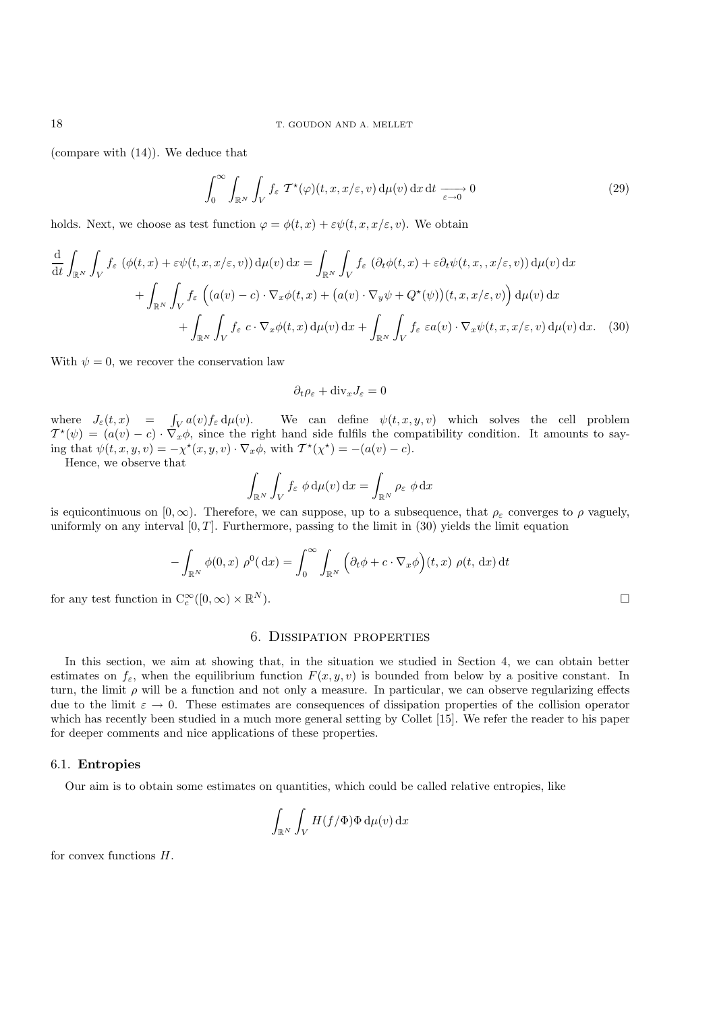(compare with (14)). We deduce that

$$
\int_0^\infty \int_{\mathbb{R}^N} \int_V f_\varepsilon \, \mathcal{T}^\star(\varphi)(t, x, x/\varepsilon, v) \, \mathrm{d}\mu(v) \, \mathrm{d}x \, \mathrm{d}t \xrightarrow[\varepsilon \to 0]{} 0 \tag{29}
$$

holds. Next, we choose as test function  $\varphi = \phi(t, x) + \varepsilon \psi(t, x, x/\varepsilon, v)$ . We obtain

$$
\frac{d}{dt} \int_{\mathbb{R}^N} \int_V f_{\varepsilon} \left( \phi(t, x) + \varepsilon \psi(t, x, x/\varepsilon, v) \right) d\mu(v) dx = \int_{\mathbb{R}^N} \int_V f_{\varepsilon} \left( \partial_t \phi(t, x) + \varepsilon \partial_t \psi(t, x, x/\varepsilon, v) \right) d\mu(v) dx \n+ \int_{\mathbb{R}^N} \int_V f_{\varepsilon} \left( (a(v) - c) \cdot \nabla_x \phi(t, x) + (a(v) \cdot \nabla_y \psi + Q^*(\psi)) (t, x, x/\varepsilon, v) \right) d\mu(v) dx \n+ \int_{\mathbb{R}^N} \int_V f_{\varepsilon} c \cdot \nabla_x \phi(t, x) d\mu(v) dx + \int_{\mathbb{R}^N} \int_V f_{\varepsilon} \varepsilon a(v) \cdot \nabla_x \psi(t, x, x/\varepsilon, v) d\mu(v) dx.
$$
\n(30)

With  $\psi = 0$ , we recover the conservation law

 $\partial_t \rho_\varepsilon + \text{div}_x J_\varepsilon = 0$ 

where  $J_{\varepsilon}(t, x) = \int_{V} a(v) f_{\varepsilon} d\mu(v)$ . We can define  $\psi(t, x, y, v)$  which solves the cell problem  $\tau^*(\psi) = (a(v) - c) \cdot \nabla \phi$  since the right hand side fulfils the compatibility condition. It amounts to save  $T^*(\psi)=(a(v)-c)\cdot \nabla_x \phi$ , since the right hand side fulfils the compatibility condition. It amounts to say-<br>ing that  $\psi(t,x,y,v) = -\chi^*(x,y,v)$ ,  $\nabla \phi$  with  $T^*(\chi^*) = -a(u,v) - c$ ing that  $\psi(t, x, y, v) = -\chi^*(x, y, v) \cdot \nabla_x \phi$ , with  $\mathcal{T}^*(\chi^*) = -(a(v) - c)$ .

Hence, we observe that

$$
\int_{\mathbb{R}^N} \int_V f_{\varepsilon} \phi \, \mathrm{d}\mu(v) \, \mathrm{d}x = \int_{\mathbb{R}^N} \rho_{\varepsilon} \phi \, \mathrm{d}x
$$

is equicontinuous on  $[0, \infty)$ . Therefore, we can suppose, up to a subsequence, that  $\rho_{\varepsilon}$  converges to  $\rho$  vaguely, uniformly on any interval  $[0, T]$ . Furthermore, passing to the limit in  $(30)$  yields the limit equation

$$
-\int_{\mathbb{R}^N} \phi(0, x) \rho^0(\mathrm{d}x) = \int_0^\infty \int_{\mathbb{R}^N} \left( \partial_t \phi + c \cdot \nabla_x \phi \right) (t, x) \rho(t, \mathrm{d}x) \mathrm{d}t
$$

for any test function in  $C_c^{\infty}([0,\infty) \times \mathbb{R}^N)$ .

# 6. Dissipation properties

In this section, we aim at showing that, in the situation we studied in Section 4, we can obtain better estimates on  $f_{\varepsilon}$ , when the equilibrium function  $F(x, y, v)$  is bounded from below by a positive constant. In turn, the limit  $\rho$  will be a function and not only a measure. In particular, we can observe regularizing effects due to the limit  $\varepsilon \to 0$ . These estimates are consequences of dissipation properties of the collision operator which has recently been studied in a much more general setting by Collet [15]. We refer the reader to his paper for deeper comments and nice applications of these properties.

### 6.1. **Entropies**

Our aim is to obtain some estimates on quantities, which could be called relative entropies, like

$$
\int_{\mathbb{R}^N} \int_V H(f/\Phi) \Phi \, \mathrm{d}\mu(v) \, \mathrm{d}x
$$

for convex functions  $H$ .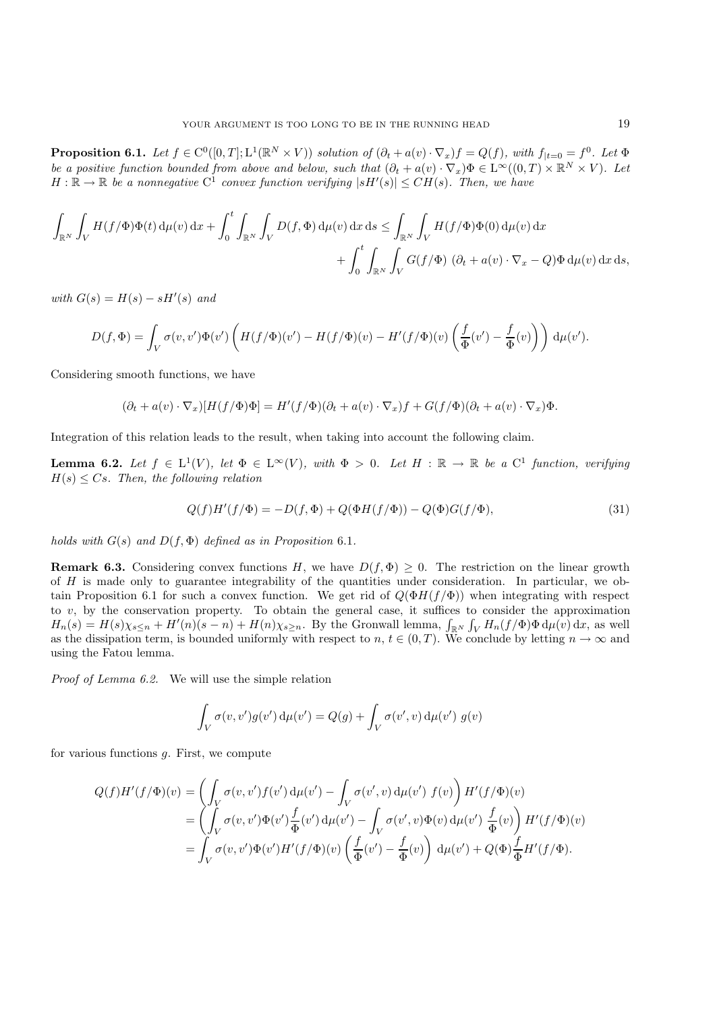**Proposition 6.1.** *Let*  $f \in C^0([0,T]; L^1(\mathbb{R}^N \times V))$  *solution of*  $(\partial_t + a(v) \cdot \nabla_x) f = Q(f)$ *, with*  $f_{|t=0} = f^0$ *. Let*  $\Phi$ *be a positive function bounded from above and below, such that*  $(\partial_t + a(v) \cdot \nabla_x)\Phi \in L^{\infty}((0,T) \times \mathbb{R}^N \times V)$ *. Let*  $H : \mathbb{R} \to \mathbb{R}$  be a nonnegative  $C^{\mathbb{I}}$  convex function verifying  $|sH'(s)| \leq C H(s)$ . Then, we have

$$
\int_{\mathbb{R}^N} \int_V H(f/\Phi) \Phi(t) d\mu(v) dx + \int_0^t \int_{\mathbb{R}^N} \int_V D(f, \Phi) d\mu(v) dx ds \le \int_{\mathbb{R}^N} \int_V H(f/\Phi) \Phi(0) d\mu(v) dx + \int_0^t \int_{\mathbb{R}^N} \int_V G(f/\Phi) (\partial_t + a(v) \cdot \nabla_x - Q) \Phi d\mu(v) dx ds,
$$

 $with G(s) = H(s) - sH'(s)$  and

$$
D(f, \Phi) = \int_V \sigma(v, v') \Phi(v') \left( H(f/\Phi)(v') - H(f/\Phi)(v) - H'(f/\Phi)(v) \left( \frac{f}{\Phi}(v') - \frac{f}{\Phi}(v) \right) \right) d\mu(v').
$$

Considering smooth functions, we have

$$
(\partial_t + a(v) \cdot \nabla_x)[H(f/\Phi)\Phi] = H'(f/\Phi)(\partial_t + a(v) \cdot \nabla_x)f + G(f/\Phi)(\partial_t + a(v) \cdot \nabla_x)\Phi.
$$

Integration of this relation leads to the result, when taking into account the following claim.

**Lemma 6.2.** *Let*  $f \in L^1(V)$ *, let*  $\Phi \in L^{\infty}(V)$ *, with*  $\Phi > 0$ *. Let*  $H : \mathbb{R} \to \mathbb{R}$  *be a*  $C^1$  *function, verifying* H(s) <sup>≤</sup> Cs*. Then, the following relation*

$$
Q(f)H'(f/\Phi) = -D(f, \Phi) + Q(\Phi H(f/\Phi)) - Q(\Phi)G(f/\Phi),
$$
\n(31)

*holds with*  $G(s)$  *and*  $D(f, \Phi)$  *defined as in Proposition* 6.1*.* 

**Remark 6.3.** Considering convex functions H, we have  $D(f, \Phi) \geq 0$ . The restriction on the linear growth of H is made only to guarantee integrability of the quantities under consideration. In particular, we obtain Proposition 6.1 for such a convex function. We get rid of  $Q(\Phi H(f/\Phi))$  when integrating with respect to  $v$ , by the conservation property. To obtain the general case, it suffices to consider the approximation  $H_n(s) = H(s)\chi_{s\leq n} + H'(n)(s-n) + H(n)\chi_{s\geq n}$ . By the Gronwall lemma,  $\int_{\mathbb{R}^N} \int_V H_n(f/\Phi) \Phi d\mu(v) dx$ , as well as the dissipation term, is bounded uniformly with respect to n,  $t \in (0,T)$ . We conclude by letting  $n \to \infty$  and using the Fatou lemma.

*Proof of Lemma 6.2.* We will use the simple relation

$$
\int_V \sigma(v, v') g(v') d\mu(v') = Q(g) + \int_V \sigma(v', v) d\mu(v') g(v)
$$

for various functions g. First, we compute

$$
Q(f)H'(f/\Phi)(v) = \left(\int_V \sigma(v,v')f(v') d\mu(v') - \int_V \sigma(v',v) d\mu(v') f(v)\right)H'(f/\Phi)(v)
$$
  
= 
$$
\left(\int_V \sigma(v,v')\Phi(v')\frac{f}{\Phi}(v') d\mu(v') - \int_V \sigma(v',v)\Phi(v) d\mu(v')\frac{f}{\Phi}(v)\right)H'(f/\Phi)(v)
$$
  
= 
$$
\int_V \sigma(v,v')\Phi(v')H'(f/\Phi)(v)\left(\frac{f}{\Phi}(v') - \frac{f}{\Phi}(v)\right) d\mu(v') + Q(\Phi)\frac{f}{\Phi}H'(f/\Phi).
$$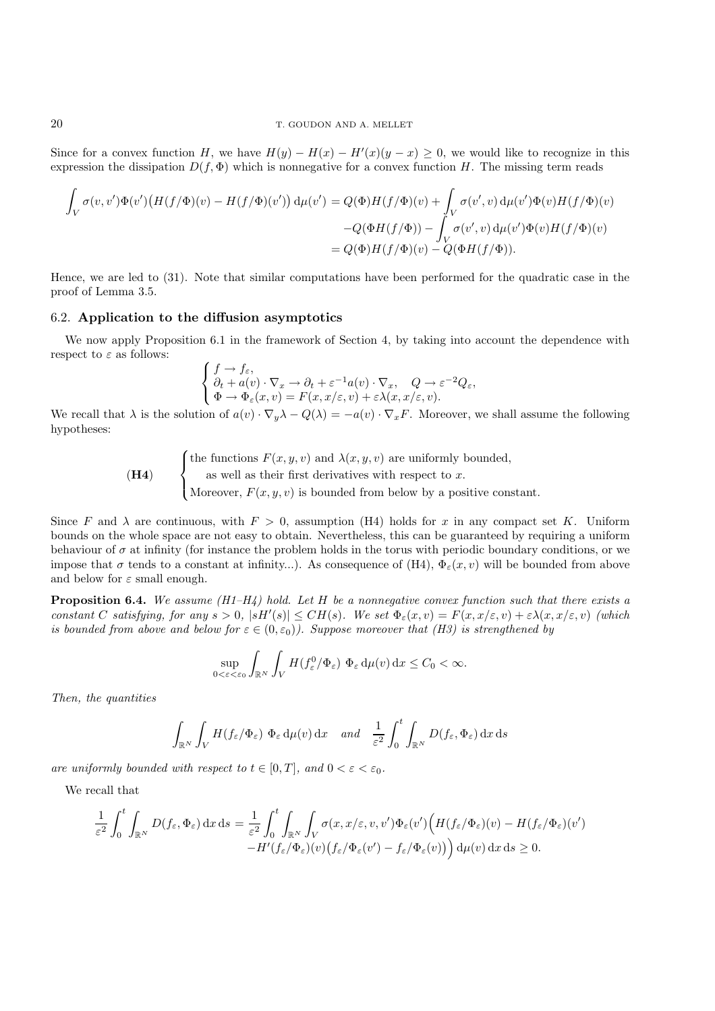Since for a convex function H, we have  $H(y) - H(x) - H'(x)(y - x) \ge 0$ , we would like to recognize in this expression the dissipation  $D(f, \Phi)$  which is nonporative for a convex function H. The missing term reads expression the dissipation  $D(f, \Phi)$  which is nonnegative for a convex function H. The missing term reads

$$
\int_{V} \sigma(v, v') \Phi(v') \left( H(f/\Phi)(v) - H(f/\Phi)(v') \right) d\mu(v') = Q(\Phi)H(f/\Phi)(v) + \int_{V} \sigma(v', v) d\mu(v') \Phi(v)H(f/\Phi)(v) \n- Q(\Phi H(f/\Phi)) - \int_{V} \sigma(v', v) d\mu(v') \Phi(v)H(f/\Phi)(v) \n= Q(\Phi)H(f/\Phi)(v) - Q(\Phi H(f/\Phi)).
$$

Hence, we are led to (31). Note that similar computations have been performed for the quadratic case in the proof of Lemma 3.5.

# 6.2. **Application to the diffusion asymptotics**

We now apply Proposition 6.1 in the framework of Section 4, by taking into account the dependence with respect to  $\varepsilon$  as follows:

$$
\begin{cases}\nf \to f_{\varepsilon}, \\
\partial_t + a(v) \cdot \nabla_x \to \partial_t + \varepsilon^{-1} a(v) \cdot \nabla_x, \quad Q \to \varepsilon^{-2} Q_{\varepsilon}, \\
\Phi \to \Phi_{\varepsilon}(x, v) = F(x, x/\varepsilon, v) + \varepsilon \lambda(x, x/\varepsilon, v).\n\end{cases}
$$

We recall that  $\lambda$  is the solution of  $a(v) \cdot \nabla_y \lambda - Q(\lambda) = -a(v) \cdot \nabla_x F$ . Moreover, we shall assume the following hypotheses: hypotheses:

(H4)   
 
$$
\begin{cases} \text{the functions } F(x, y, v) \text{ and } \lambda(x, y, v) \text{ are uniformly bounded,} \\ \text{as well as their first derivatives with respect to } x. \\ \text{Moreover, } F(x, y, v) \text{ is bounded from below by a positive constant.} \end{cases}
$$

Since F and  $\lambda$  are continuous, with  $F > 0$ , assumption (H4) holds for x in any compact set K. Uniform bounds on the whole space are not easy to obtain. Nevertheless, this can be guaranteed by requiring a uniform behaviour of  $\sigma$  at infinity (for instance the problem holds in the torus with periodic boundary conditions, or we impose that  $\sigma$  tends to a constant at infinity...). As consequence of (H4),  $\Phi_{\varepsilon}(x, v)$  will be bounded from above and below for  $\varepsilon$  small enough.

**Proposition 6.4.** *We assume (H1–H4) hold. Let* H *be a nonnegative convex function such that there exists a constant* C *satisfying, for any*  $s > 0$ ,  $|sH'(s)| \leq CH(s)$ *. We set*  $\Phi_{\varepsilon}(x, v) = F(x, x/\varepsilon, v) + \varepsilon \lambda(x, x/\varepsilon, v)$  *(which* is *bounded from above and below for*  $\varepsilon \in (0, \varepsilon_0)$ ). Suppose moreover that *(H3)* is strengthen *is bounded from above and below for*  $\varepsilon \in (0, \varepsilon_0)$ *). Suppose moreover that (H3) is strengthened by* 

$$
\sup_{0 < \varepsilon < \varepsilon_0} \int_{\mathbb{R}^N} \int_V H(f_\varepsilon^0/\Phi_\varepsilon) \, \Phi_\varepsilon \, \mathrm{d}\mu(v) \, \mathrm{d}x \le C_0 < \infty.
$$

*Then, the quantities*

$$
\int_{\mathbb{R}^N} \int_V H(f_{\varepsilon}/\Phi_{\varepsilon}) \, \Phi_{\varepsilon} \, \mathrm{d}\mu(v) \, \mathrm{d}x \quad \text{and} \quad \frac{1}{\varepsilon^2} \int_0^t \int_{\mathbb{R}^N} D(f_{\varepsilon}, \Phi_{\varepsilon}) \, \mathrm{d}x \, \mathrm{d}s
$$

*are uniformly bounded with respect to*  $t \in [0, T]$ *, and*  $0 < \varepsilon < \varepsilon_0$ *.* 

We recall that

$$
\frac{1}{\varepsilon^2} \int_0^t \int_{\mathbb{R}^N} D(f_\varepsilon, \Phi_\varepsilon) \, dx \, ds = \frac{1}{\varepsilon^2} \int_0^t \int_{\mathbb{R}^N} \int_V \sigma(x, x/\varepsilon, v, v') \Phi_\varepsilon(v') \Big( H(f_\varepsilon/\Phi_\varepsilon)(v) - H(f_\varepsilon/\Phi_\varepsilon)(v') - H'(f_\varepsilon/\Phi_\varepsilon)(v) \Big) \, d\mu(v) \, dx \, ds \ge 0.
$$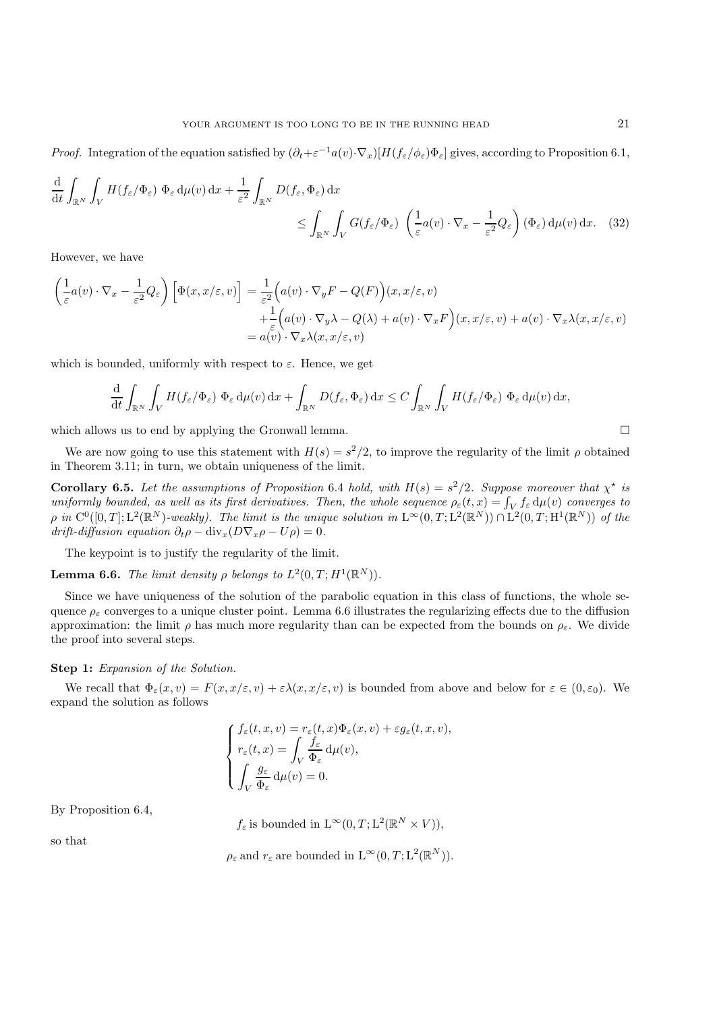*Proof.* Integration of the equation satisfied by  $(\partial_t + \varepsilon^{-1}a(v)\cdot \nabla_x)[H(f_{\varepsilon}/\phi_{\varepsilon})\Phi_{\varepsilon}]$  gives, according to Proposition 6.1,

$$
\frac{\mathrm{d}}{\mathrm{d}t} \int_{\mathbb{R}^N} \int_V H(f_\varepsilon/\Phi_\varepsilon) \, \Phi_\varepsilon \, \mathrm{d}\mu(v) \, \mathrm{d}x + \frac{1}{\varepsilon^2} \int_{\mathbb{R}^N} D(f_\varepsilon, \Phi_\varepsilon) \, \mathrm{d}x \le \int_{\mathbb{R}^N} \int_V G(f_\varepsilon/\Phi_\varepsilon) \, \left(\frac{1}{\varepsilon} a(v) \cdot \nabla_x - \frac{1}{\varepsilon^2} Q_\varepsilon\right) (\Phi_\varepsilon) \, \mathrm{d}\mu(v) \, \mathrm{d}x. \tag{32}
$$

However, we have

$$
\begin{aligned}\n\left(\frac{1}{\varepsilon}a(v)\cdot\nabla_x - \frac{1}{\varepsilon^2}Q_{\varepsilon}\right)\left[\Phi(x, x/\varepsilon, v)\right] &= \frac{1}{\varepsilon^2}\Big(a(v)\cdot\nabla_y F - Q(F)\Big)(x, x/\varepsilon, v) \\
&\quad + \frac{1}{\varepsilon}\Big(a(v)\cdot\nabla_y \lambda - Q(\lambda) + a(v)\cdot\nabla_x F\Big)(x, x/\varepsilon, v) + a(v)\cdot\nabla_x \lambda(x, x/\varepsilon, v) \\
&= a(v)\cdot\nabla_x \lambda(x, x/\varepsilon, v)\n\end{aligned}
$$

which is bounded, uniformly with respect to  $\varepsilon$ . Hence, we get

$$
\frac{\mathrm{d}}{\mathrm{d}t} \int_{\mathbb{R}^N} \int_V H(f_\varepsilon/\Phi_\varepsilon) \, \Phi_\varepsilon \, \mathrm{d}\mu(v) \, \mathrm{d}x + \int_{\mathbb{R}^N} D(f_\varepsilon, \Phi_\varepsilon) \, \mathrm{d}x \le C \int_{\mathbb{R}^N} \int_V H(f_\varepsilon/\Phi_\varepsilon) \, \Phi_\varepsilon \, \mathrm{d}\mu(v) \, \mathrm{d}x,
$$

which allows us to end by applying the Gronwall lemma.  $\Box$ 

We are now going to use this statement with  $H(s) = s^2/2$ , to improve the regularity of the limit  $\rho$  obtained in Theorem 3.11; in turn, we obtain uniqueness of the limit.

**Corollary 6.5.** *Let the assumptions of Proposition* 6.4 *hold, with*  $H(s) = s^2/2$ *. Suppose moreover that*  $\chi^*$  *is uniformly bounded, as well as its first derivatives. Then, the whole sequence*  $a(t, r) - \int_{s}^{t} f(u(r))$  *uniformly bounded, as well as its first derivatives. Then, the whole sequence*  $\rho_{\varepsilon}(t, x) = \int_V f_{\varepsilon} d\mu(v)$  *converges to*<br>a in  $C^0([0, T], L^2(\mathbb{R}^N)$  *weakly*). The limit is the unique solution in  $I \propto (0, T, L^2(\mathbb{R}^$  $\rho$  *in*  $C^0([0,T];L^2(\mathbb{R}^N)$ *-weakly). The limit is the unique solution in*  $L^{\infty}(0,T;L^2(\mathbb{R}^N)) \cap L^2(0,T;H^1(\mathbb{R}^N))$  *of the*  $drift-diffusion equation \partial_t \rho - \text{div}_x(D\nabla_x \rho - U\rho) = 0.$ 

The keypoint is to justify the regularity of the limit.

**Lemma 6.6.** *The limit density*  $\rho$  *belongs to*  $L^2(0,T;H^1(\mathbb{R}^N))$ *.* 

Since we have uniqueness of the solution of the parabolic equation in this class of functions, the whole sequence  $\rho_{\varepsilon}$  converges to a unique cluster point. Lemma 6.6 illustrates the regularizing effects due to the diffusion approximation: the limit  $\rho$  has much more regularity than can be expected from the bounds on  $\rho_{\varepsilon}$ . We divide the proof into several steps.

### **Step 1:** *Expansion of the Solution.*

We recall that  $\Phi_{\varepsilon}(x, v) = F(x, x/\varepsilon, v) + \varepsilon \lambda(x, x/\varepsilon, v)$  is bounded from above and below for  $\varepsilon \in (0, \varepsilon_0)$ . We expand the solution as follows

$$
\left\{ \begin{aligned} &f_\varepsilon(t,x,v)=r_\varepsilon(t,x)\Phi_\varepsilon(x,v)+\varepsilon g_\varepsilon(t,x,v),\\ &r_\varepsilon(t,x)=\int_V\frac{f_\varepsilon}{\Phi_\varepsilon}\,\mathrm{d}\mu(v),\\ &\int_V\frac{g_\varepsilon}{\Phi_\varepsilon}\,\mathrm{d}\mu(v)=0. \end{aligned} \right.
$$

By Proposition 6.4,

 $f_{\varepsilon}$  is bounded in  $L^{\infty}(0, T; L^{2}(\mathbb{R}^{N} \times V)),$ 

so that

 $\rho_{\varepsilon}$  and  $r_{\varepsilon}$  are bounded in  $L^{\infty}(0, T; L^{2}(\mathbb{R}^{N})).$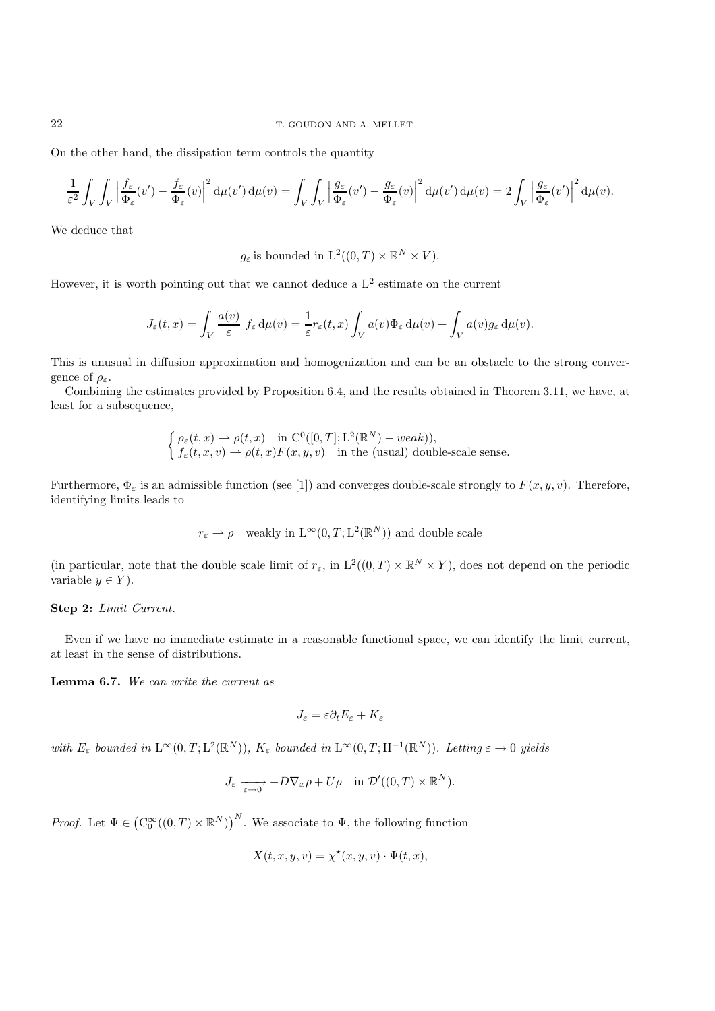On the other hand, the dissipation term controls the quantity

$$
\frac{1}{\varepsilon^2} \int_V \int_V \left| \frac{f_\varepsilon}{\Phi_\varepsilon}(v') - \frac{f_\varepsilon}{\Phi_\varepsilon}(v) \right|^2 d\mu(v') d\mu(v) = \int_V \int_V \left| \frac{g_\varepsilon}{\Phi_\varepsilon}(v') - \frac{g_\varepsilon}{\Phi_\varepsilon}(v) \right|^2 d\mu(v') d\mu(v) = 2 \int_V \left| \frac{g_\varepsilon}{\Phi_\varepsilon}(v') \right|^2 d\mu(v).
$$

We deduce that

 $q_{\varepsilon}$  is bounded in  $L^2((0,T) \times \mathbb{R}^N \times V)$ .

However, it is worth pointing out that we cannot deduce a  $L^2$  estimate on the current

$$
J_{\varepsilon}(t,x) = \int_{V} \frac{a(v)}{\varepsilon} f_{\varepsilon} d\mu(v) = \frac{1}{\varepsilon} r_{\varepsilon}(t,x) \int_{V} a(v) \Phi_{\varepsilon} d\mu(v) + \int_{V} a(v) g_{\varepsilon} d\mu(v).
$$

This is unusual in diffusion approximation and homogenization and can be an obstacle to the strong convergence of  $\rho_{\varepsilon}$ .

Combining the estimates provided by Proposition 6.4, and the results obtained in Theorem 3.11, we have, at least for a subsequence,

$$
\begin{cases} \rho_{\varepsilon}(t,x) \rightharpoonup \rho(t,x) \quad \text{in } C^0([0,T];\mathcal{L}^2(\mathbb{R}^N) - weak)),\\ f_{\varepsilon}(t,x,v) \rightharpoonup \rho(t,x)F(x,y,v) \quad \text{in the (usual) double-scale sense.} \end{cases}
$$

Furthermore,  $\Phi_{\varepsilon}$  is an admissible function (see [1]) and converges double-scale strongly to  $F(x, y, v)$ . Therefore, identifying limits leads to

$$
r_{\varepsilon} \rightharpoonup \rho
$$
 weakly in  $L^{\infty}(0, T; L^{2}(\mathbb{R}^{N}))$  and double scale

(in particular, note that the double scale limit of  $r_{\varepsilon}$ , in  $L^2((0,T) \times \mathbb{R}^N \times Y)$ , does not depend on the periodic variable  $y \in Y$ ).

### **Step 2:** *Limit Current.*

Even if we have no immediate estimate in a reasonable functional space, we can identify the limit current, at least in the sense of distributions.

**Lemma 6.7.** *We can write the current as*

$$
J_{\varepsilon} = \varepsilon \partial_t E_{\varepsilon} + K_{\varepsilon}
$$

*with*  $E_{\varepsilon}$  *bounded in*  $L^{\infty}(0,T;L^{2}(\mathbb{R}^{N}))$ *,*  $K_{\varepsilon}$  *bounded in*  $L^{\infty}(0,T;H^{-1}(\mathbb{R}^{N}))$ *. Letting*  $\varepsilon \to 0$  *yields* 

$$
J_{\varepsilon} \xrightarrow[\varepsilon \to 0]{} -D\nabla_x \rho + U\rho \quad \text{in } \mathcal{D}'((0,T) \times \mathbb{R}^N).
$$

*Proof.* Let  $\Psi \in (\mathrm{C}_0^{\infty}((0,T) \times \mathbb{R}^N))$ <sup>N</sup>. We associate to  $\Psi$ , the following function

$$
X(t, x, y, v) = \chi^*(x, y, v) \cdot \Psi(t, x),
$$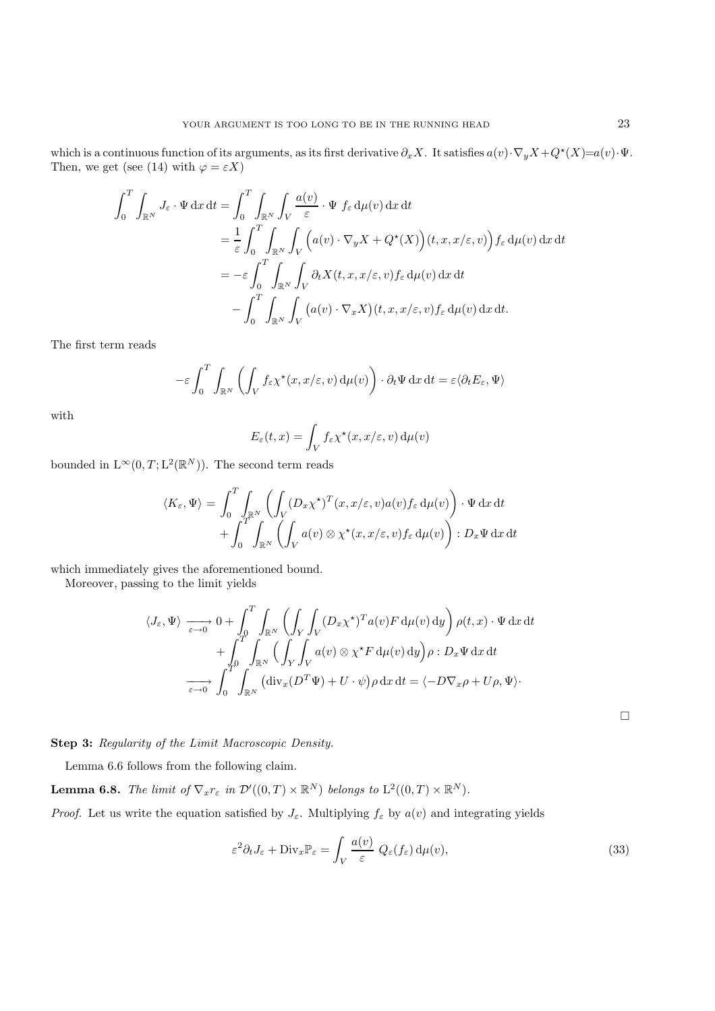which is a continuous function of its arguments, as its first derivative  $\partial_x X$ . It satisfies  $a(v) \cdot \nabla_y X + Q^*(X) = a(v) \cdot \Psi$ . Then, we get (see (14) with  $\varphi = \varepsilon X$ )

$$
\int_0^T \int_{\mathbb{R}^N} J_{\varepsilon} \cdot \Psi \, dx \, dt = \int_0^T \int_{\mathbb{R}^N} \int_V \frac{a(v)}{\varepsilon} \cdot \Psi \, f_{\varepsilon} \, d\mu(v) \, dx \, dt
$$
  
\n
$$
= \frac{1}{\varepsilon} \int_0^T \int_{\mathbb{R}^N} \int_V \Big( a(v) \cdot \nabla_y X + Q^*(X) \Big) (t, x, x/\varepsilon, v) \Big) f_{\varepsilon} \, d\mu(v) \, dx \, dt
$$
  
\n
$$
= -\varepsilon \int_0^T \int_{\mathbb{R}^N} \int_V \partial_t X(t, x, x/\varepsilon, v) f_{\varepsilon} \, d\mu(v) \, dx \, dt
$$
  
\n
$$
- \int_0^T \int_{\mathbb{R}^N} \int_V \Big( a(v) \cdot \nabla_x X \Big) (t, x, x/\varepsilon, v) f_{\varepsilon} \, d\mu(v) \, dx \, dt.
$$

The first term reads

$$
-\varepsilon \int_0^T \int_{\mathbb{R}^N} \left( \int_V f_\varepsilon \chi^\star(x, x/\varepsilon, v) \, \mathrm{d}\mu(v) \right) \cdot \partial_t \Psi \, \mathrm{d}x \, \mathrm{d}t = \varepsilon \langle \partial_t E_\varepsilon, \Psi \rangle
$$

with

$$
E_{\varepsilon}(t,x) = \int_{V} f_{\varepsilon} \chi^{\star}(x, x/\varepsilon, v) d\mu(v)
$$

bounded in  $L^{\infty}(0, T; L^{2}(\mathbb{R}^{N}))$ . The second term reads

$$
\langle K_{\varepsilon}, \Psi \rangle = \int_0^T \int_{\mathbb{R}^N} \left( \int_V (D_x \chi^*)^T(x, x/\varepsilon, v) a(v) f_{\varepsilon} d\mu(v) \right) \cdot \Psi \, dx \, dt + \int_0^T \int_{\mathbb{R}^N} \left( \int_V a(v) \otimes \chi^*(x, x/\varepsilon, v) f_{\varepsilon} d\mu(v) \right) : D_x \Psi \, dx \, dt
$$

which immediately gives the aforementioned bound.

Moreover, passing to the limit yields

$$
\langle J_{\varepsilon}, \Psi \rangle \xrightarrow[\varepsilon \to 0]{} 0 + \int_{0}^{T} \int_{\mathbb{R}^{N}} \left( \int_{Y} \int_{V} (D_{x} \chi^{\star})^{T} a(v) F d\mu(v) dy \right) \rho(t, x) \cdot \Psi dx dt + \int_{0}^{T} \int_{\mathbb{R}^{N}} \left( \int_{Y} \int_{V} a(v) \otimes \chi^{\star} F d\mu(v) dy \right) \rho : D_{x} \Psi dx dt \xrightarrow[\varepsilon \to 0]{} \int_{0}^{T} \int_{\mathbb{R}^{N}} (\text{div}_{x} (D^{T} \Psi) + U \cdot \psi) \rho dx dt = \langle -D \nabla_{x} \rho + U \rho, \Psi \rangle.
$$

**Step 3:** *Regularity of the Limit Macroscopic Density.*

Lemma 6.6 follows from the following claim.

**Lemma 6.8.** *The limit of*  $\nabla_x r_\varepsilon$  *in*  $\mathcal{D}'((0,T) \times \mathbb{R}^N)$  *belongs to*  $L^2((0,T) \times \mathbb{R}^N)$ *.* 

*Proof.* Let us write the equation satisfied by  $J_{\varepsilon}$ . Multiplying  $f_{\varepsilon}$  by  $a(v)$  and integrating yields

$$
\varepsilon^2 \partial_t J_\varepsilon + \text{Div}_x \mathbb{P}_\varepsilon = \int_V \frac{a(v)}{\varepsilon} Q_\varepsilon(f_\varepsilon) d\mu(v), \tag{33}
$$

 $\Box$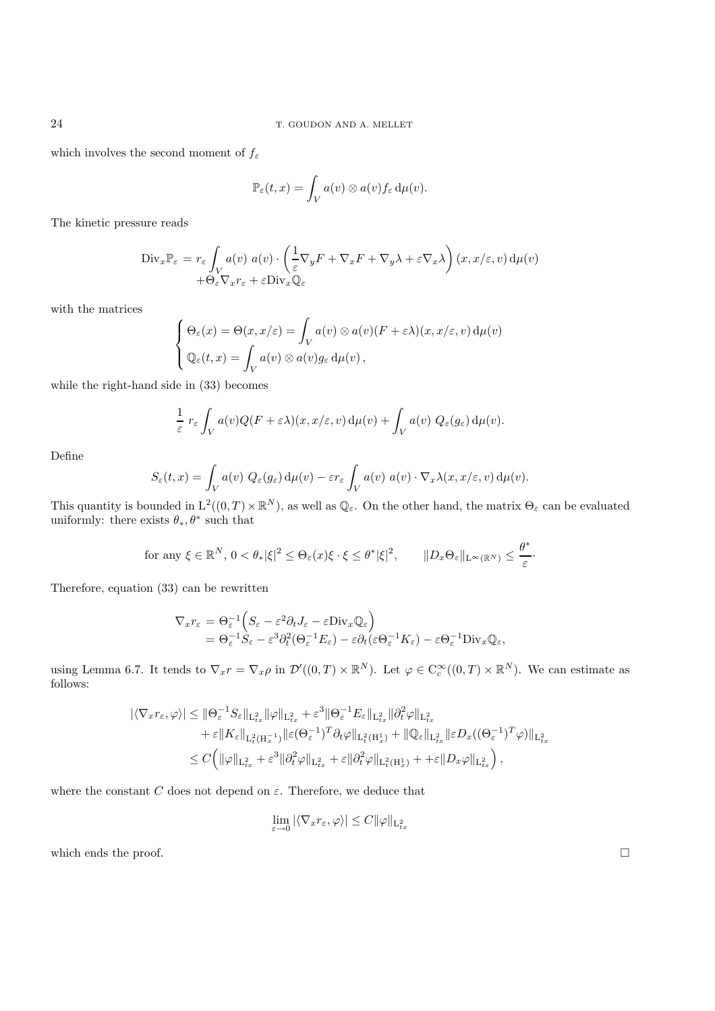which involves the second moment of  $f_{\varepsilon}$ 

$$
\mathbb{P}_{\varepsilon}(t,x)=\int_V a(v)\otimes a(v)f_{\varepsilon}\,\mathrm{d}\mu(v).
$$

The kinetic pressure reads

$$
\text{Div}_{x} \mathbb{P}_{\varepsilon} = r_{\varepsilon} \int_{V} a(v) \ a(v) \cdot \left( \frac{1}{\varepsilon} \nabla_{y} F + \nabla_{x} F + \nabla_{y} \lambda + \varepsilon \nabla_{x} \lambda \right) (x, x/\varepsilon, v) d\mu(v) + \Theta_{\varepsilon} \nabla_{x} r_{\varepsilon} + \varepsilon \text{Div}_{x} \mathbb{Q}_{\varepsilon}
$$

with the matrices

$$
\begin{cases} \Theta_{\varepsilon}(x) = \Theta(x, x/\varepsilon) = \int_{V} a(v) \otimes a(v)(F + \varepsilon \lambda)(x, x/\varepsilon, v) d\mu(v) \\ \mathbb{Q}_{\varepsilon}(t, x) = \int_{V} a(v) \otimes a(v)g_{\varepsilon} d\mu(v), \end{cases}
$$

while the right-hand side in (33) becomes

$$
\frac{1}{\varepsilon} r_{\varepsilon} \int_{V} a(v) Q(F + \varepsilon \lambda)(x, x/\varepsilon, v) d\mu(v) + \int_{V} a(v) Q_{\varepsilon}(g_{\varepsilon}) d\mu(v).
$$

Define

$$
S_{\varepsilon}(t,x) = \int_{V} a(v) \ Q_{\varepsilon}(g_{\varepsilon}) d\mu(v) - \varepsilon r_{\varepsilon} \int_{V} a(v) \ a(v) \cdot \nabla_x \lambda(x,x/\varepsilon, v) d\mu(v).
$$

This quantity is bounded in  $L^2((0,T)\times\mathbb{R}^N)$ , as well as  $\mathbb{Q}_{\varepsilon}$ . On the other hand, the matrix  $\Theta_{\varepsilon}$  can be evaluated uniformly: there exists  $\theta_*, \theta^*$  such that

for any 
$$
\xi \in \mathbb{R}^N
$$
,  $0 < \theta_* |\xi|^2 \leq \Theta_{\varepsilon}(x)\xi \cdot \xi \leq \theta^* |\xi|^2$ ,  $||D_x \Theta_{\varepsilon}||_{L^{\infty}(\mathbb{R}^N)} \leq \frac{\theta^*}{\varepsilon}$ .

Therefore, equation (33) can be rewritten

$$
\nabla_x r_{\varepsilon} = \Theta_{\varepsilon}^{-1} \Big( S_{\varepsilon} - \varepsilon^2 \partial_t J_{\varepsilon} - \varepsilon \text{Div}_x \mathbb{Q}_{\varepsilon} \Big) \n= \Theta_{\varepsilon}^{-1} S_{\varepsilon} - \varepsilon^3 \partial_t^2 (\Theta_{\varepsilon}^{-1} E_{\varepsilon}) - \varepsilon \partial_t (\varepsilon \Theta_{\varepsilon}^{-1} K_{\varepsilon}) - \varepsilon \Theta_{\varepsilon}^{-1} \text{Div}_x \mathbb{Q}_{\varepsilon},
$$

using Lemma 6.7. It tends to  $\nabla_x r = \nabla_x \rho$  in  $\mathcal{D}'((0,T) \times \mathbb{R}^N)$ . Let  $\varphi \in C_c^{\infty}((0,T) \times \mathbb{R}^N)$ . We can estimate as follows:

$$
\begin{split} |\langle \nabla_x r_{\varepsilon}, \varphi \rangle| &\leq \|\Theta_{\varepsilon}^{-1} S_{\varepsilon}\|_{\mathrm{L}_{tx}^2} \|\varphi\|_{\mathrm{L}_{tx}^2} + \varepsilon^3 \|\Theta_{\varepsilon}^{-1} E_{\varepsilon}\|_{\mathrm{L}_{tx}^2} \|\partial_t^2 \varphi\|_{\mathrm{L}_{tx}^2} \\ &\quad + \varepsilon \|K_{\varepsilon}\|_{\mathrm{L}_t^2(\mathrm{H}_x^{-1})} \|\varepsilon (\Theta_{\varepsilon}^{-1})^T \partial_t \varphi\|_{\mathrm{L}_t^2(\mathrm{H}_x^1)} + \|\mathbb{Q}_{\varepsilon}\|_{\mathrm{L}_{tx}^2} \|\varepsilon D_x((\Theta_{\varepsilon}^{-1})^T \varphi)\|_{\mathrm{L}_{tx}^2} \\ &\leq C \Big( \|\varphi\|_{\mathrm{L}_{tx}^2} + \varepsilon^3 \|\partial_t^2 \varphi\|_{\mathrm{L}_{tx}^2} + \varepsilon \|\partial_t^2 \varphi\|_{\mathrm{L}_t^2(\mathrm{H}_x^1)} + + \varepsilon \|D_x \varphi\|_{\mathrm{L}_{tx}^2} \Big) \,, \end{split}
$$

where the constant C does not depend on  $\varepsilon$ . Therefore, we deduce that

$$
\lim_{\varepsilon \to 0} |\langle \nabla_x r_{\varepsilon}, \varphi \rangle| \leq C ||\varphi||_{\mathcal{L}^2_{tx}}
$$

which ends the proof.  $\hfill \square$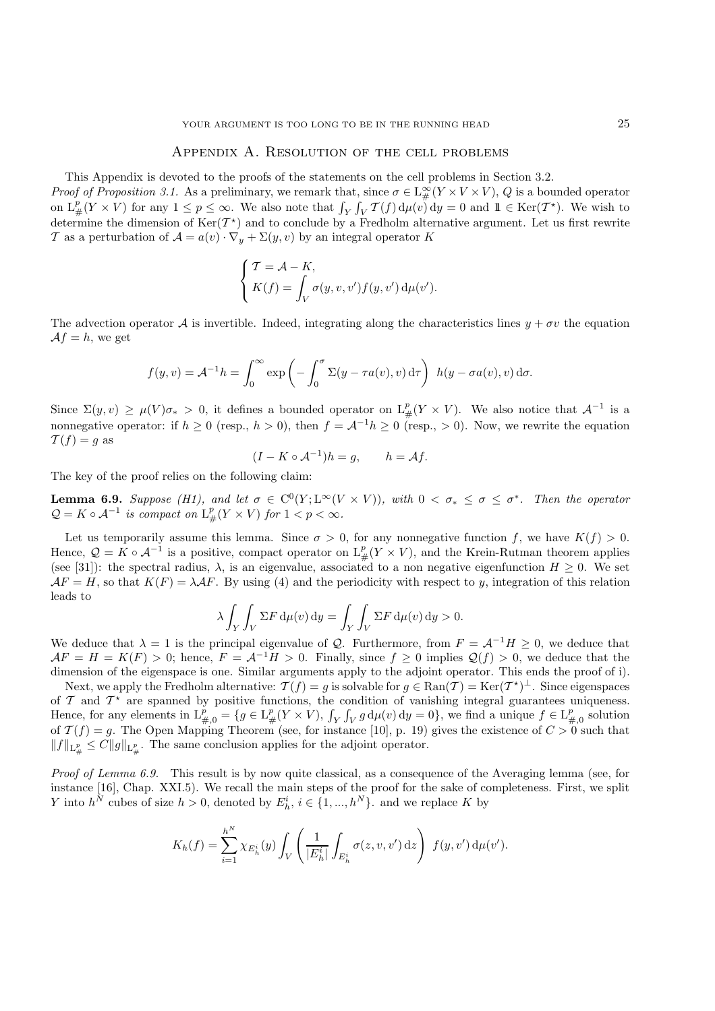# Appendix A. Resolution of the cell problems

This Appendix is devoted to the proofs of the statements on the cell problems in Section 3.2.

*Proof of Proposition 3.1.* As a preliminary, we remark that, since  $\sigma \in L^{\infty}_x(Y \times V \times V)$ , Q is a bounded operator on  $L^p(Y \times V)$  for any  $1 \leq x \leq \infty$ . We also note that  $\int_{\mathbb{R}} \mathcal{F}(f) d\mu(x) dx = 0$  and  $\mathbb{I} \in \text{Ker}(\mathcal$ on  $L^p_{\#}(Y \times V)$  for any  $1 \le p \le \infty$ . We also note that  $\int_Y \int_V T(f) d\mu(v) dv = 0$  and  $1 \in \text{Ker}(T^*)$ . We wish to determine the dimension of  $\text{Ker}(T^*)$  and to conclude by a Fredholm alternative argument. Let us first rewrite determine the dimension of  $\text{Ker}(\mathcal{T}^*)$  and to conclude by a Fredholm alternative argument. Let us first rewrite T as a perturbation of  $\mathcal{A} = a(v) \cdot \nabla_y + \Sigma(y, v)$  by an integral operator K

$$
\left\{ \begin{aligned} &T = \mathcal{A} - K, \\ &K(f) = \int_V \sigma(y,v,v') f(y,v') \,\mathrm{d}\mu(v'). \end{aligned} \right.
$$

The advection operator A is invertible. Indeed, integrating along the characteristics lines  $y + \sigma y$  the equation  $Af = h$ , we get

$$
f(y,v) = A^{-1}h = \int_0^\infty \exp\left(-\int_0^\sigma \Sigma(y - \tau a(v), v) d\tau\right) h(y - \sigma a(v), v) d\sigma.
$$

Since  $\Sigma(y, v) \ge \mu(V) \sigma_* > 0$ , it defines a bounded operator on  $L^p_{\#}(Y \times V)$ . We also notice that  $\mathcal{A}^{-1}$  is a non-negative approaching if  $k > 0$  (norm  $k > 0$ ), then  $f_k = 4^{-1} k > 0$  (norm  $> 0$ ). Norm we normite the equ nonnegative operator: if  $h \ge 0$  (resp.,  $h > 0$ ), then  $f = \mathcal{A}^{-1}h \ge 0$  (resp.,  $> 0$ ). Now, we rewrite the equation  $\mathcal{T}(f) = g$  as

$$
(I - K \circ \mathcal{A}^{-1})h = g, \qquad h = \mathcal{A}f.
$$

The key of the proof relies on the following claim:

**Lemma 6.9.** *Suppose (H1), and let*  $\sigma \in C^0(Y; L^\infty(V \times V))$ *, with*  $0 < \sigma_* \leq \sigma \leq \sigma^*$ *. Then the operator*  $Q = K \circ A^{-1}$  is compact on  $L^p_{\#}(Y \times V)$  for  $1 < p < \infty$ .

Let us temporarily assume this lemma. Since  $\sigma > 0$ , for any nonnegative function f, we have  $K(f) > 0$ . Hence,  $\mathcal{Q} = \tilde{K} \circ \mathcal{A}^{-1}$  is a positive, compact operator on  $L^p_{\#}(Y \times V)$ , and the Krein-Rutman theorem applies (see [31]), the spectral reduce is an eigenvalue associated to a non-negative eigenfunction  $H > 0$ . (see [31]): the spectral radius,  $\lambda$ , is an eigenvalue, associated to a non negative eigenfunction  $H \geq 0$ . We set  $AF = H$ , so that  $K(F) = \lambda AF$ . By using (4) and the periodicity with respect to y, integration of this relation leads to

$$
\lambda \int_Y \int_Y \Sigma F \, \mathrm{d}\mu(v) \, \mathrm{d}y = \int_Y \int_Y \Sigma F \, \mathrm{d}\mu(v) \, \mathrm{d}y > 0.
$$

We deduce that  $\lambda = 1$  is the principal eigenvalue of Q. Furthermore, from  $F = \mathcal{A}^{-1}H \ge 0$ , we deduce that  $\Delta F = H - K(F) > 0$ ; hence  $F = \mathcal{A}^{-1}H > 0$ . Finally since  $f > 0$  implies  $O(f) > 0$ , we deduce that the  $AF = H = K(F) > 0$ ; hence,  $F = A^{-1}H > 0$ . Finally, since  $f \ge 0$  implies  $\mathcal{Q}(f) > 0$ , we deduce that the dimension of the eigenspace is one. Similar arguments apply to the adjoint operator. This ends the proof of i. dimension of the eigenspace is one. Similar arguments apply to the adjoint operator. This ends the proof of i).

Next, we apply the Fredholm alternative:  $\mathcal{T}(f) = g$  is solvable for  $g \in \text{Ran}(\mathcal{T}) = \text{Ker}(\mathcal{T}^*)^{\perp}$ . Since eigenspaces of  $\mathcal T$  and  $\mathcal T^*$  are spanned by positive functions, the condition of vanishing integral guarantees uniqueness. Hence, for any elements in  $L_{p,0}^p = \{g \in L_p^p(Y \times V), \int_Y \int_V g d\mu(v) dy = 0\}$ , we find a unique  $f \in L_{p,0}^p$  solution of  $\mathcal{T}(f) = g$ . The Open Mapping Theorem (see for instance [10], p. 10) gives the evistence of  $C > 0$  such th of  $\mathcal{T}(f) = g$ . The Open Mapping Theorem (see, for instance [10], p. 19) gives the existence of  $C > 0$  such that  $||f||_{\mathcal{L}^p_{\#}} \leq C||g||_{\mathcal{L}^p_{\#}}$ . The same conclusion applies for the adjoint operator.

*Proof of Lemma 6.9.* This result is by now quite classical, as a consequence of the Averaging lemma (see, for instance [16], Chap. XXI.5). We recall the main steps of the proof for the sake of completeness. First, we split Y into  $h^N$  cubes of size  $h > 0$ , denoted by  $E_h^i$ ,  $i \in \{1, ..., h^N\}$ . and we replace K by

$$
K_h(f) = \sum_{i=1}^{h^N} \chi_{E_h^i}(y) \int_V \left( \frac{1}{|E_h^i|} \int_{E_h^i} \sigma(z, v, v') \, dz \right) f(y, v') \, d\mu(v').
$$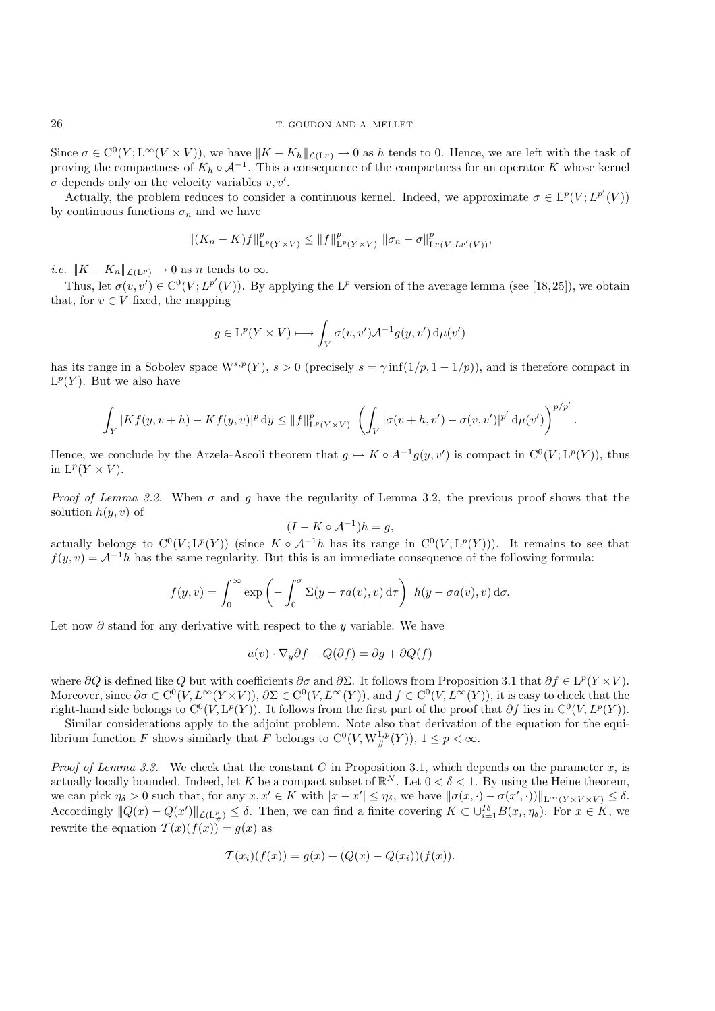Since  $\sigma \in C^0(Y; L^{\infty}(V \times V))$ , we have  $||K - K_h||_{\mathcal{L}(L^p)} \to 0$  as h tends to 0. Hence, we are left with the task of proving the compactness of  $K_h \circ A^{-1}$ . This a consequence of the compactness for an operator K whose kernel  $\sigma$  depends only on the velocity variables  $v, v'$ .<br>Actually the problem reduces to consider

Actually, the problem reduces to consider a continuous kernel. Indeed, we approximate  $\sigma \in L^p(V; L^{p'}(V))$ <br>continuous functions  $\sigma$  and we have by continuous functions  $\sigma_n$  and we have

$$
||(K_n - K)f||^p_{\mathcal{L}^p(Y \times V)} \leq ||f||^p_{\mathcal{L}^p(Y \times V)} ||\sigma_n - \sigma||^p_{\mathcal{L}^p(V; \mathcal{L}^{p'}(V))},
$$

*i.e.*  $||K - K_n||_{\mathcal{L}(L^p)} \to 0$  as *n* tends to  $\infty$ .

Thus, let  $\sigma(v, v') \in C^0(V; L^{p'}(V))$ . By applying the L<sup>p</sup> version of the average lemma (see [18,25]), we obtain that, for  $v \in V$  fixed, the mapping

$$
g\in \mathrm{L}^p(Y\times V)\longmapsto \int_V \sigma(v,v')\mathcal{A}^{-1}g(y,v')\,\mathrm{d}\mu(v')
$$

has its range in a Sobolev space  $W^{s,p}(Y)$ ,  $s > 0$  (precisely  $s = \gamma \inf(1/p, 1 - 1/p)$ ), and is therefore compact in  $L^p(Y)$ . But we also have

$$
\int_{Y} |Kf(y, v+h) - Kf(y, v)|^{p} dy \leq ||f||_{L^{p}(Y \times V)}^{p} \left( \int_{V} |\sigma(v+h, v') - \sigma(v, v')|^{p'} d\mu(v') \right)^{p/p'}
$$

Hence, we conclude by the Arzela-Ascoli theorem that  $g \mapsto K \circ A^{-1}g(y, v')$  is compact in  $C^0(V; L^p(Y))$ , thus in  $L^p(V \times V)$ in  $L^p(Y \times V)$ .

*Proof of Lemma 3.2.* When  $\sigma$  and g have the regularity of Lemma 3.2, the previous proof shows that the solution  $h(y, v)$  of

$$
(I - K \circ \mathcal{A}^{-1})h = g,
$$

actually belongs to  $C^0(V; L^p(Y))$  (since  $K \circ A^{-1}h$  has its range in  $C^0(V; L^p(Y))$ ). It remains to see that  $f(u, v) = A^{-1}h$  has the same requirity. But this is an immediate consequence of the following formula:  $f(y, v) = \mathcal{A}^{-1}h$  has the same regularity. But this is an immediate consequence of the following formula:

$$
f(y,v) = \int_0^\infty \exp\left(-\int_0^\sigma \Sigma(y-\tau a(v),v) d\tau\right) h(y-\sigma a(v),v) d\sigma.
$$

Let now  $\partial$  stand for any derivative with respect to the y variable. We have

$$
a(v) \cdot \nabla_y \partial f - Q(\partial f) = \partial g + \partial Q(f)
$$

where  $\partial Q$  is defined like Q but with coefficients  $\partial \sigma$  and  $\partial \Sigma$ . It follows from Proposition 3.1 that  $\partial f \in L^p(Y \times V)$ . Moreover, since  $\partial \sigma \in C^0(V, L^\infty(Y \times V)), \partial \Sigma \in C^0(V, L^\infty(Y)),$  and  $f \in C^0(V, L^\infty(Y)),$  it is easy to check that the right-hand side belongs to  $C^0(V, L^p(Y))$ . It follows from the first part of the proof that  $\partial f$  lies in  $C^0(V, L^p(Y))$ .

Similar considerations apply to the adjoint problem. Note also that derivation of the equation for the equilibrium function F shows similarly that F belongs to  $C^0(V, W^{1,p}_\#(Y)), 1 \leq p < \infty$ .

*Proof of Lemma 3.3.* We check that the constant C in Proposition 3.1, which depends on the parameter x, is actually locally bounded. Indeed, let K be a compact subset of  $\mathbb{R}^N$ . Let  $0 < \delta < 1$ . By using the Heine theorem, we can pick  $\eta_{\delta} > 0$  such that, for any  $x, x' \in K$  with  $|x - x'| \leq \eta_{\delta}$ , we have  $\|\sigma(x, \cdot) - \sigma(x', \cdot)\|_{\mathbb{L}^{\infty}(Y \times Y \times Y)} \leq \delta$ .<br>A secondize  $\|\phi(x) - \phi(x')\|_{\mathbb{L}^{\infty}(X \times Y \times Y)} \leq \delta$ . Then we see find a finite sevening  $K \subset$ Accordingly  $||Q(x) - Q(x')||_{\mathcal{L}(L^p_{\#})} \leq \delta$ . Then, we can find a finite covering  $K \subset \bigcup_{i=1}^{I\delta} B(x_i, \eta_{\delta})$ . For  $x \in K$ , we rewrite the equation  $T(x)(f(x)) = g(x)$  as

$$
T(x_i)(f(x)) = g(x) + (Q(x) - Q(x_i))(f(x)).
$$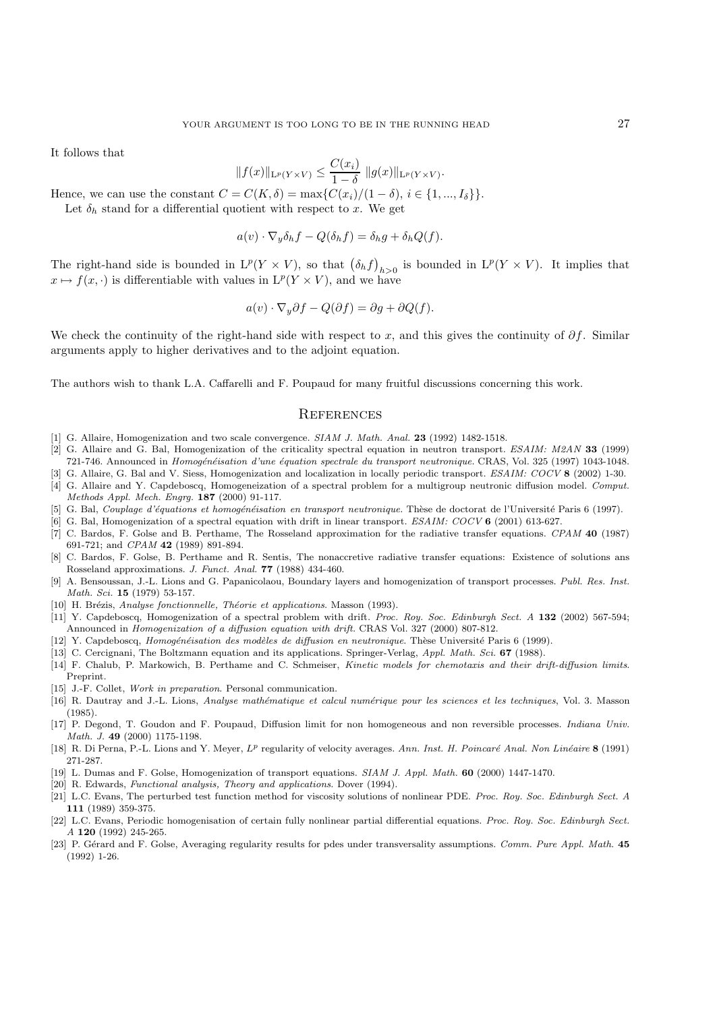It follows that

$$
||f(x)||_{\mathcal{L}^p(Y \times V)} \le \frac{C(x_i)}{1 - \delta} ||g(x)||_{\mathcal{L}^p(Y \times V)}.
$$
  
- C(K, \delta) = max{C(x, )/(1 - \delta), i \in I}

Hence, we can use the constant  $C = C(K, \delta) = \max\{C(x_i)/(1 - \delta), i \in \{1, ..., I_{\delta}\}\}.$ <br>Let  $\delta_i$ , stand for a differential quotient with respect to x. We get

Let  $\delta_h$  stand for a differential quotient with respect to x. We get

$$
a(v) \cdot \nabla_y \delta_h f - Q(\delta_h f) = \delta_h g + \delta_h Q(f).
$$

The right-hand side is bounded in  $L^p(Y \times V)$ , so that  $(\delta_h f)_{h>0}$  is bounded in  $L^p(Y \times V)$ . It implies that  $x \mapsto f(x, \cdot)$  is differentiable with values in  $L^p(Y \times V)$ , and we have

$$
a(v) \cdot \nabla_y \partial f - Q(\partial f) = \partial g + \partial Q(f).
$$

We check the continuity of the right-hand side with respect to x, and this gives the continuity of  $\partial f$ . Similar arguments apply to higher derivatives and to the adjoint equation.

The authors wish to thank L.A. Caffarelli and F. Poupaud for many fruitful discussions concerning this work.

### **REFERENCES**

- [1] G. Allaire, Homogenization and two scale convergence. SIAM J. Math. Anal. **23** (1992) 1482-1518.
- [2] G. Allaire and G. Bal, Homogenization of the criticality spectral equation in neutron transport. ESAIM: M2AN **33** (1999) 721-746. Announced in Homogénéisation d'une équation spectrale du transport neutronique. CRAS, Vol. 325 (1997) 1043-1048.
- [3] G. Allaire, G. Bal and V. Siess, Homogenization and localization in locally periodic transport. ESAIM: COCV **8** (2002) 1-30.
- [4] G. Allaire and Y. Capdeboscq, Homogeneization of a spectral problem for a multigroup neutronic diffusion model. Comput. Methods Appl. Mech. Engrg. **187** (2000) 91-117.
- [5] G. Bal, Couplage d'équations et homogénéisation en transport neutronique. Thèse de doctorat de l'Université Paris 6 (1997).
- [6] G. Bal, Homogenization of a spectral equation with drift in linear transport. ESAIM: COCV **6** (2001) 613-627.
- [7] C. Bardos, F. Golse and B. Perthame, The Rosseland approximation for the radiative transfer equations. CPAM **40** (1987) 691-721; and CPAM **42** (1989) 891-894.
- [8] C. Bardos, F. Golse, B. Perthame and R. Sentis, The nonaccretive radiative transfer equations: Existence of solutions ans Rosseland approximations. J. Funct. Anal. **77** (1988) 434-460.
- [9] A. Bensoussan, J.-L. Lions and G. Papanicolaou, Boundary layers and homogenization of transport processes. Publ. Res. Inst. Math. Sci. **15** (1979) 53-157.
- [10] H. Brézis, Analyse fonctionnelle, Théorie et applications. Masson (1993).
- [11] Y. Capdeboscq, Homogenization of a spectral problem with drift. Proc. Roy. Soc. Edinburgh Sect. A **132** (2002) 567-594; Announced in Homogenization of a diffusion equation with drift. CRAS Vol. 327 (2000) 807-812.
- [12] Y. Capdeboscq, Homogénéisation des modèles de diffusion en neutronique. Thèse Université Paris 6 (1999).
- [13] C. Cercignani, The Boltzmann equation and its applications. Springer-Verlag, Appl. Math. Sci. **67** (1988).
- [14] F. Chalub, P. Markowich, B. Perthame and C. Schmeiser, Kinetic models for chemotaxis and their drift-diffusion limits. Preprint.
- [15] J.-F. Collet, Work in preparation. Personal communication.
- [16] R. Dautray and J.-L. Lions, Analyse mathématique et calcul numérique pour les sciences et les techniques, Vol. 3. Masson (1985).
- [17] P. Degond, T. Goudon and F. Poupaud, Diffusion limit for non homogeneous and non reversible processes. Indiana Univ. Math. J. **49** (2000) 1175-1198.
- [18] R. Di Perna, P.-L. Lions and Y. Meyer,  $L^p$  regularity of velocity averages. Ann. Inst. H. Poincaré Anal. Non Linéaire **8** (1991) 271-287.
- [19] L. Dumas and F. Golse, Homogenization of transport equations. SIAM J. Appl. Math. **60** (2000) 1447-1470.
- [20] R. Edwards, Functional analysis, Theory and applications. Dover (1994).
- [21] L.C. Evans, The perturbed test function method for viscosity solutions of nonlinear PDE. Proc. Roy. Soc. Edinburgh Sect. A **111** (1989) 359-375.
- [22] L.C. Evans, Periodic homogenisation of certain fully nonlinear partial differential equations. Proc. Roy. Soc. Edinburgh Sect. A **120** (1992) 245-265.
- [23] P. Gérard and F. Golse, Averaging regularity results for pdes under transversality assumptions. Comm. Pure Appl. Math. 45 (1992) 1-26.